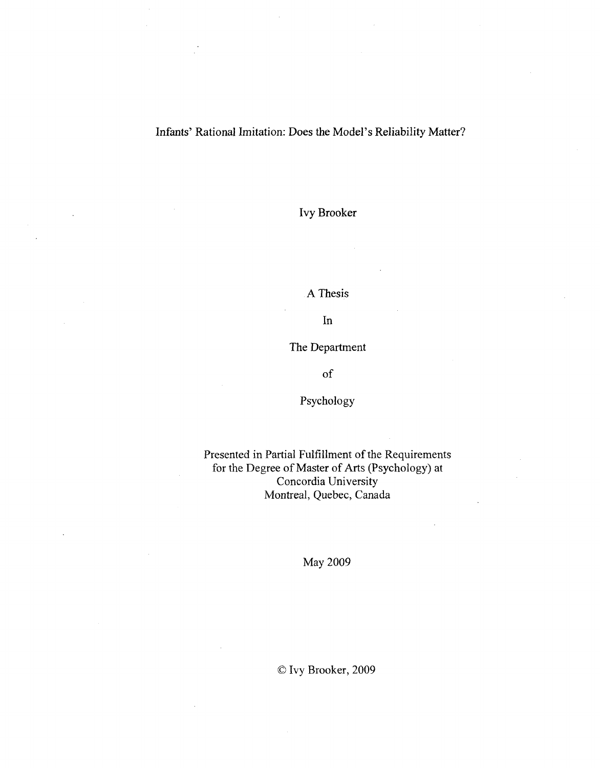#### Infants' Rational Imitation: Does the Model's Reliability Matter?

Ivy Brooker

A Thesis

In

The Department

of

Psychology

Presented in Partial Fulfillment of the Requirements for the Degree of Master of Arts (Psychology) at Concordia University Montreal, Quebec, Canada

May 2009

© Ivy Brooker, 2009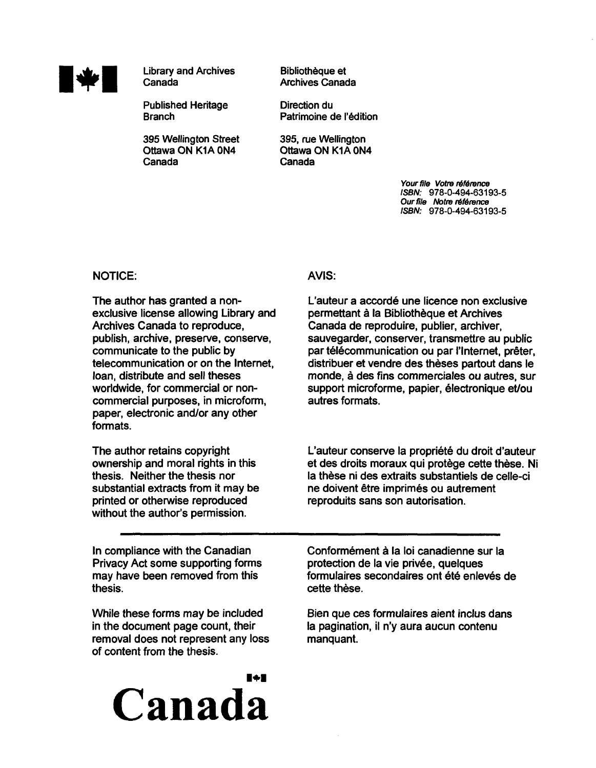

**Library and Archives** Canada

Published Heritage **Branch** 

395 Wellington Street Ottawa ON K1A 0N4 Canada

Bibliotheque et Archives Canada

Direction du Patrimoine de l'édition

395, rue Wellington Ottawa ON K1A 0N4 Canada

> Your file Votre référence ISBN: 978-0-494-63193-5 Our file Notre référence ISBN: 978-0-494-63193-5

#### NOTICE: AVIS:

The author has granted a nonexclusive license allowing Library and Archives Canada to reproduce, publish, archive, preserve, conserve, communicate to the public by telecommunication or on the Internet, loan, distribute and sell theses worldwide, for commercial or noncommercial purposes, in microform, paper, electronic and/or any other formats.

The author retains copyright ownership and moral rights in this thesis. Neither the thesis nor substantial extracts from it may be printed or otherwise reproduced without the author's permission.

In compliance with the Canadian Privacy Act some supporting forms may have been removed from this thesis.

While these forms may be included in the document page count, their removal does not represent any loss of content from the thesis.

# 1+1 **Canada**

L'auteur a accordé une licence non exclusive permettant a la Bibliotheque et Archives Canada de reproduire, publier, archiver, sauvegarder, conserver, transmettre au public par télécommunication ou par l'Internet, prêter, distribuer et vendre des theses partout dans le monde, a des fins commerciales ou autres, sur support microforme, papier, electronique et/ou autres formats.

L'auteur conserve la propriété du droit d'auteur et des droits moraux qui protège cette thèse. Ni la thèse ni des extraits substantiels de celle-ci ne doivent être imprimés ou autrement reproduits sans son autorisation.

Conformément à la loi canadienne sur la protection de la vie privée, quelques formulaires secondaires ont été enlevés de cette thèse.

Bien que ces formulaires aient inclus dans la pagination, il n'y aura aucun contenu manquant.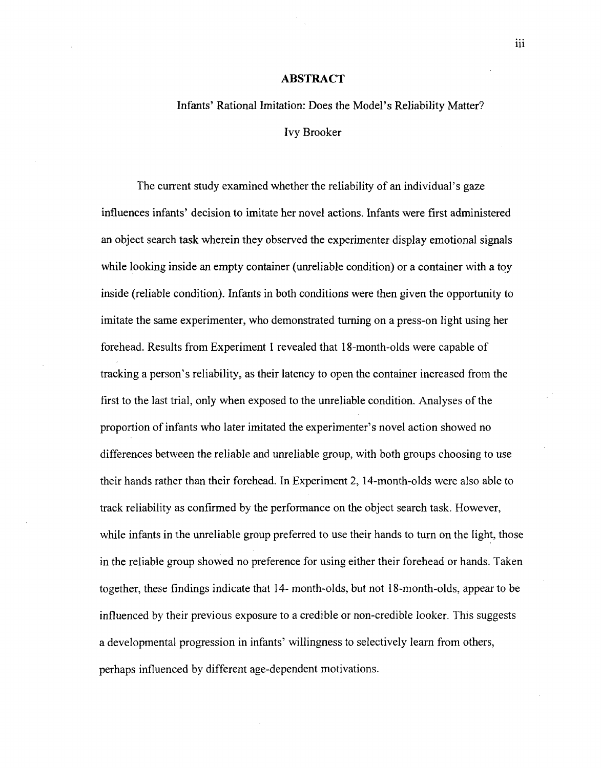#### **ABSTRACT**

# Infants' Rational Imitation: Does the Model's Reliability Matter? Ivy Brooker

The current study examined whether the reliability of an individual's gaze influences infants' decision to imitate her novel actions. Infants were first administered an object search task wherein they observed the experimenter display emotional signals while looking inside an empty container (unreliable condition) or a container with a toy inside (reliable condition). Infants in both conditions were then given the opportunity to imitate the same experimenter, who demonstrated turning on a press-on light using her forehead. Results from Experiment 1 revealed that 18-month-olds were capable of tracking a person's reliability, as their latency to open the container increased from the first to the last trial, only when exposed to the unreliable condition. Analyses of the proportion of infants who later imitated the experimenter's novel action showed no differences between the reliable and unreliable group, with both groups choosing to use their hands rather than their forehead. In Experiment 2,14-month-olds were also able to track reliability as confirmed by the performance on the object search task. However, while infants in the unreliable group preferred to use their hands to turn on the light, those in the reliable group showed no preference for using either their forehead or hands. Taken together, these findings indicate that 14- month-olds, but not 18-month-olds, appear to be influenced by their previous exposure to a credible or non-credible looker. This suggests a developmental progression in infants' willingness to selectively learn from others, perhaps influenced by different age-dependent motivations.

iii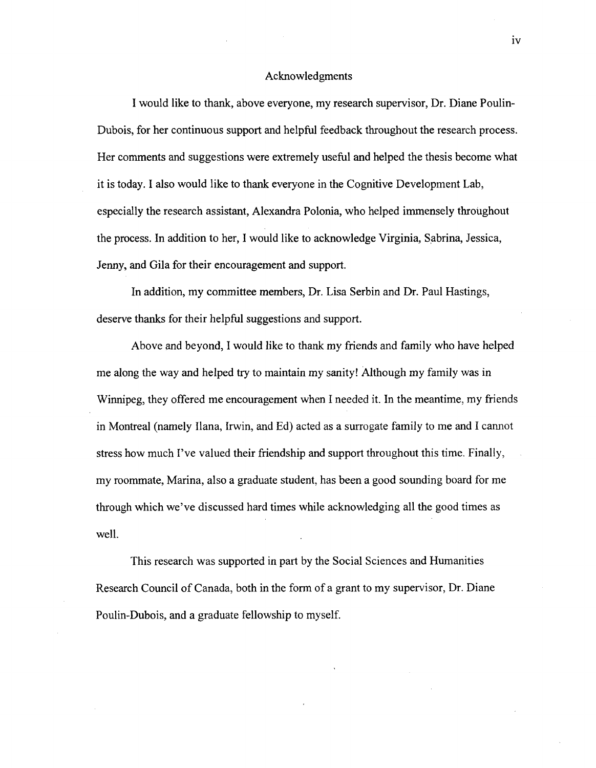#### Acknowledgments

I would like to thank, above everyone, my research supervisor, Dr. Diane Poulin-Dubois, for her continuous support and helpful feedback throughout the research process. Her comments and suggestions were extremely useful and helped the thesis become what it is today. I also would like to thank everyone in the Cognitive Development Lab, especially the research assistant, Alexandra Polonia, who helped immensely throughout the process. In addition to her, I would like to acknowledge Virginia, Sabrina, Jessica, Jenny, and Gila for their encouragement and support.

In addition, my committee members, Dr. Lisa Serbin and Dr. Paul Hastings, deserve thanks for their helpful suggestions and support.

Above and beyond, I would like to thank my friends and family who have helped me along the way and helped try to maintain my sanity! Although my family was in Winnipeg, they offered me encouragement when I needed it. In the meantime, my friends in Montreal (namely liana, Irwin, and Ed) acted as a surrogate family to me and I cannot stress how much I've valued their friendship and support throughout this time. Finally, my roommate, Marina, also a graduate student, has been a good sounding board for me through which we've discussed hard times while acknowledging all the good times as well.

This research was supported in part by the Social Sciences and Humanities Research Council of Canada, both in the form of a grant to my supervisor, Dr. Diane Poulin-Dubois, and a graduate fellowship to myself.

iv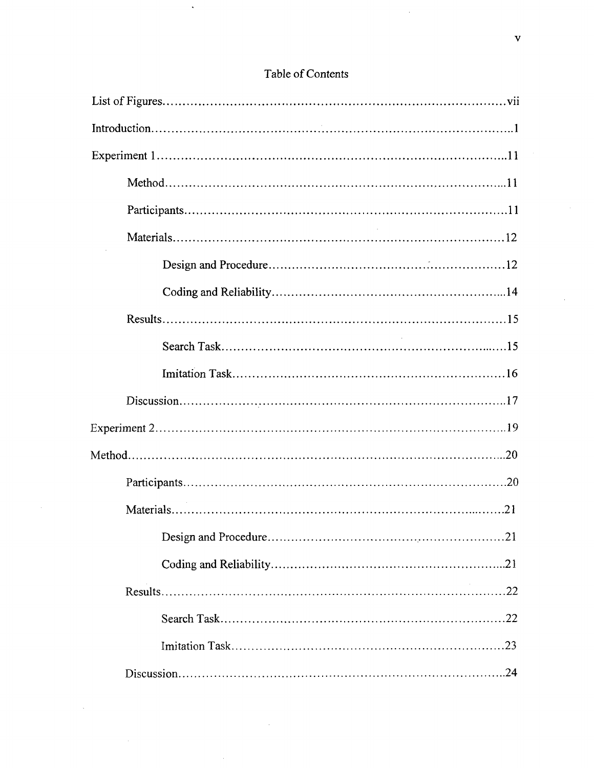| .21 |
|-----|
|     |
|     |
|     |
|     |
|     |

 $\bar{z}$ 

 $\overline{\phantom{a}}$ 

### Table of Contents

 $\ddot{\phantom{a}}$ 

 $\bar{z}$ 

 $\hat{\mathcal{A}}$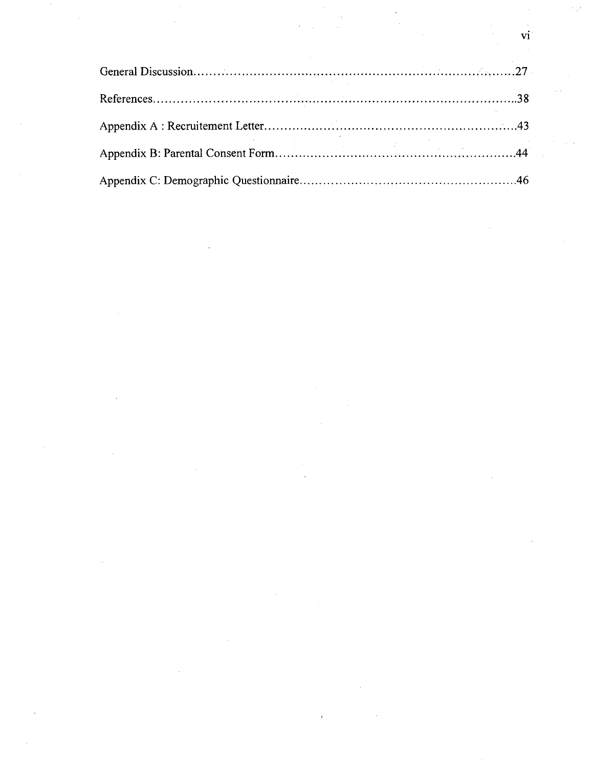$\frac{d}{dt} \left( \frac{d}{dt} \right) = \frac{1}{2} \left( \frac{d}{dt} \right)$ 

vi

 $\label{eq:2.1} \frac{1}{\sqrt{2}}\int_{\mathbb{R}^3}\frac{1}{\sqrt{2}}\left(\frac{1}{\sqrt{2}}\right)^2\frac{1}{\sqrt{2}}\left(\frac{1}{\sqrt{2}}\right)^2\frac{1}{\sqrt{2}}\left(\frac{1}{\sqrt{2}}\right)^2.$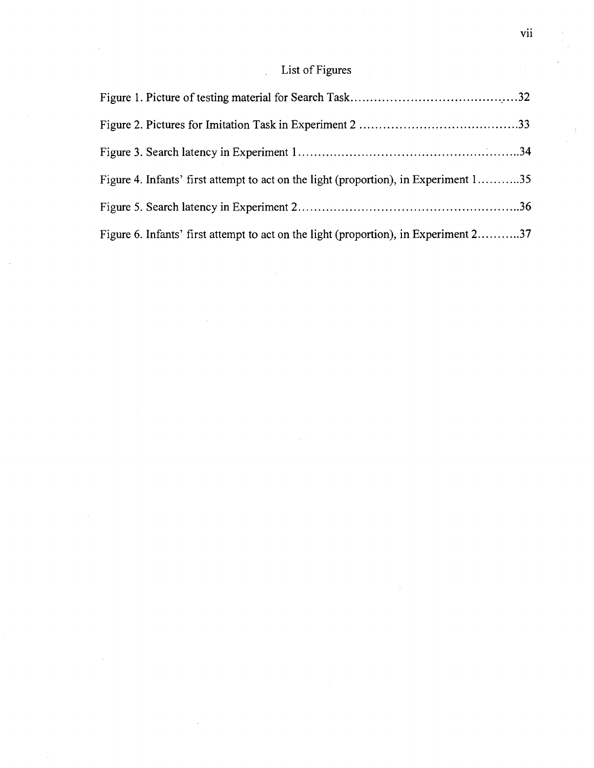## List of Figures

 $\ddot{\phantom{a}}$ 

 $\sim$ 

 $\ddot{\phantom{a}}$ 

 $\mathcal{A}$ 

 $\hat{\mathcal{A}}$ 

| Figure 4. Infants' first attempt to act on the light (proportion), in Experiment 135 |  |
|--------------------------------------------------------------------------------------|--|
|                                                                                      |  |
| Figure 6. Infants' first attempt to act on the light (proportion), in Experiment 237 |  |

 $\bar{\mathcal{A}}$ 

 $\ddot{\ddot{\psi}}$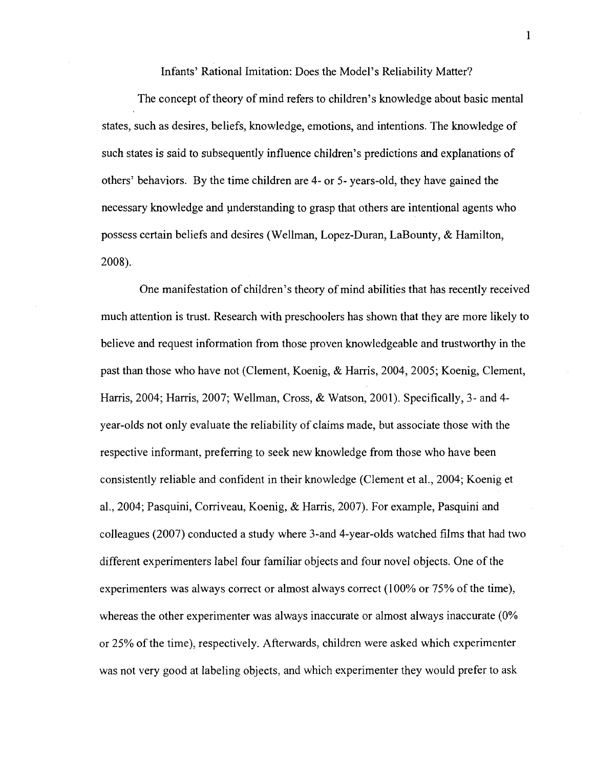Infants' Rational Imitation: Does the Model's Reliability Matter?

The concept of theory of mind refers to children's knowledge about basic mental states, such as desires, beliefs, knowledge, emotions, and intentions. The knowledge of such states is said to subsequently influence children's predictions and explanations of others' behaviors. By the time children are 4- or 5- years-old, they have gained the necessary knowledge and understanding to grasp that others are intentional agents who possess certain beliefs and desires (Wellman, Lopez-Duran, LaBounty, & Hamilton, 2008).

One manifestation of children's theory of mind abilities that has recently received much attention is trust. Research with preschoolers has shown that they are more likely to believe and request information from those proven knowledgeable and trustworthy in the past than those who have not (Clement, Koenig, & Harris, 2004, 2005; Koenig, Clement, Harris, 2004; Harris, 2007; Wellman, Cross, & Watson, 2001). Specifically, 3- and 4 year-olds not only evaluate the reliability of claims made, but associate those with the respective informant, preferring to seek new knowledge from those who have been consistently reliable and confident in their knowledge (Clement et al., 2004; Koenig et al., 2004; Pasquini, Corriveau, Koenig, & Harris, 2007). For example, Pasquini and colleagues (2007) conducted a study where 3-and 4-year-olds watched films that had two different experimenters label four familiar objects and four novel objects. One of the experimenters was always correct or almost always correct (100% or 75% of the time), whereas the other experimenter was always inaccurate or almost always inaccurate (0%) or 25% of the time), respectively. Afterwards, children were asked which experimenter was not very good at labeling objects, and which experimenter they would prefer to ask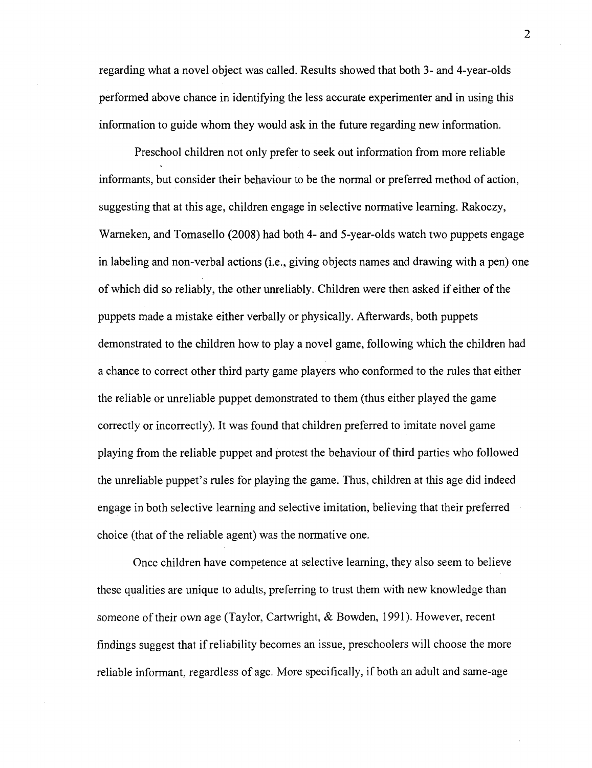regarding what a novel object was called. Results showed that both 3- and 4-year-olds performed above chance in identifying the less accurate experimenter and in using this information to guide whom they would ask in the future regarding new information.

Preschool children not only prefer to seek out information from more reliable informants, but consider their behaviour to be the normal or preferred method of action, suggesting that at this age, children engage in selective normative learning. Rakoczy, Warneken, and Tomasello (2008) had both 4- and 5-year-olds watch two puppets engage in labeling and non-verbal actions (i.e., giving objects names and drawing with a pen) one of which did so reliably, the other unreliably. Children were then asked if either of the puppets made a mistake either verbally or physically. Afterwards, both puppets demonstrated to the children how to play a novel game, following which the children had a chance to correct other third party game players who conformed to the rules that either the reliable or unreliable puppet demonstrated to them (thus either played the game correctly or incorrectly). It was found that children preferred to imitate novel game playing from the reliable puppet and protest the behaviour of third parties who followed the unreliable puppet's rules for playing the game. Thus, children at this age did indeed engage in both selective learning and selective imitation, believing that their preferred choice (that of the reliable agent) was the normative one.

Once children have competence at selective learning, they also seem to believe these qualities are unique to adults, preferring to trust them with new knowledge than someone of their own age (Taylor, Cartwright, & Bowden, 1991). However, recent findings suggest that if reliability becomes an issue, preschoolers will choose the more reliable informant, regardless of age. More specifically, if both an adult and same-age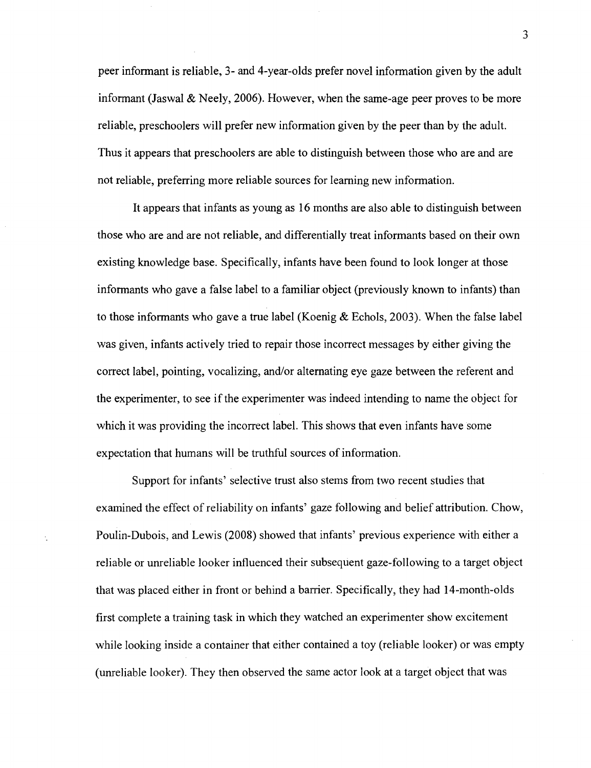peer informant is reliable, 3- and 4-year-olds prefer novel information given by the adult informant (Jaswal & Neely, 2006). However, when the same-age peer proves to be more reliable, preschoolers will prefer new information given by the peer than by the adult. Thus it appears that preschoolers are able to distinguish between those who are and are not reliable, preferring more reliable sources for learning new information.

It appears that infants as young as 16 months are also able to distinguish between those who are and are not reliable, and differentially treat informants based on their own existing knowledge base. Specifically, infants have been found to look longer at those informants who gave a false label to a familiar object (previously known to infants) than to those informants who gave a true label (Koenig & Echols, 2003). When the false label was given, infants actively tried to repair those incorrect messages by either giving the correct label, pointing, vocalizing, and/or alternating eye gaze between the referent and the experimenter, to see if the experimenter was indeed intending to name the object for which it was providing the incorrect label. This shows that even infants have some expectation that humans will be truthful sources of information.

Support for infants' selective trust also stems from two recent studies that examined the effect of reliability on infants' gaze following and belief attribution. Chow, Poulin-Dubois, and Lewis (2008) showed that infants' previous experience with either a reliable or unreliable looker influenced their subsequent gaze-following to a target object that was placed either in front or behind a barrier. Specifically, they had 14-month-olds first complete a training task in which they watched an experimenter show excitement while looking inside a container that either contained a toy (reliable looker) or was empty (unreliable looker). They then observed the same actor look at a target object that was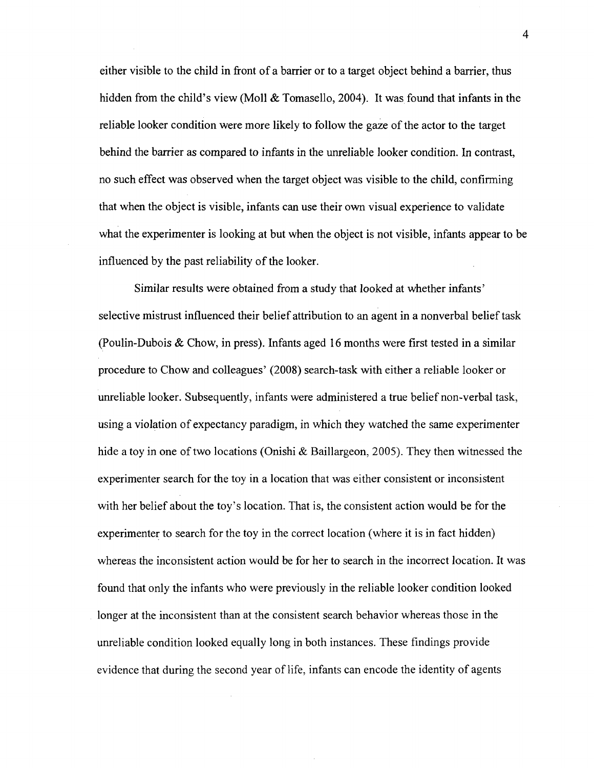either visible to the child in front of a barrier or to a target object behind a barrier, thus hidden from the child's view (Moll & Tomasello, 2004). It was found that infants in the reliable looker condition were more likely to follow the gaze of the actor to the target behind the barrier as compared to infants in the unreliable looker condition. In contrast, no such effect was observed when the target object was visible to the child, confirming that when the object is visible, infants can use their own visual experience to validate what the experimenter is looking at but when the object is not visible, infants appear to be influenced by the past reliability of the looker.

Similar results were obtained from a study that looked at whether infants' selective mistrust influenced their belief attribution to an agent in a nonverbal belief task (Poulin-Dubois & Chow, in press). Infants aged 16 months were first tested in a similar procedure to Chow and colleagues' (2008) search-task with either a reliable looker or unreliable looker. Subsequently, infants were administered a true belief non-verbal task, using a violation of expectancy paradigm, in which they watched the same experimenter hide a toy in one of two locations (Onishi & Baillargeon, 2005). They then witnessed the experimenter search for the toy in a location that was either consistent or inconsistent with her belief about the toy's location. That is, the consistent action would be for the experimenter to search for the toy in the correct location (where it is in fact hidden) whereas the inconsistent action would be for her to search in the incorrect location. It was found that only the infants who were previously in the reliable looker condition looked longer at the inconsistent than at the consistent search behavior whereas those in the unreliable condition looked equally long in both instances. These findings provide evidence that during the second year of life, infants can encode the identity of agents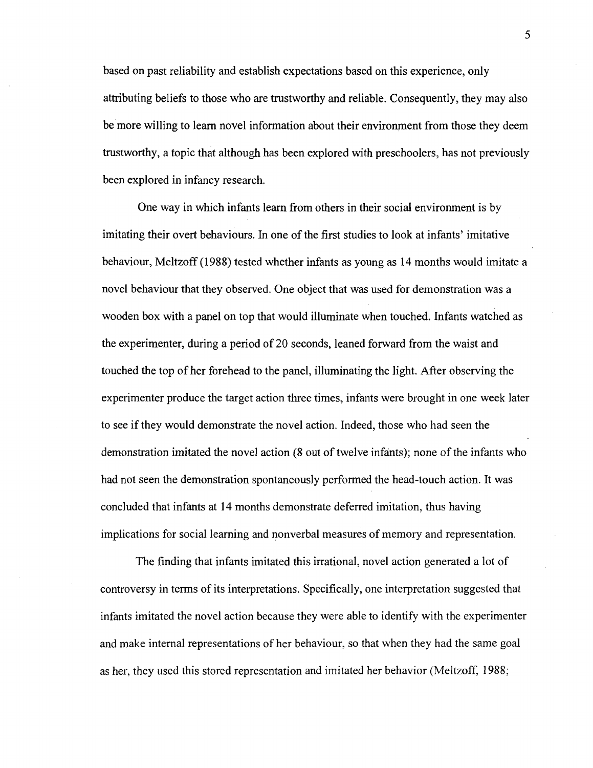based on past reliability and establish expectations based on this experience, only attributing beliefs to those who are trustworthy and reliable. Consequently, they may also be more willing to learn novel information about their environment from those they deem trustworthy, a topic that although has been explored with preschoolers, has not previously been explored in infancy research.

One way in which infants learn from others in their social environment is by imitating their overt behaviours. In one of the first studies to look at infants' imitative behaviour, Meltzoff (1988) tested whether infants as young as 14 months would imitate a novel behaviour that they observed. One object that was used for demonstration was a wooden box with a panel on top that would illuminate when touched. Infants watched as the experimenter, during a period of 20 seconds, leaned forward from the waist and touched the top of her forehead to the panel, illuminating the light. After observing the experimenter produce the target action three times, infants were brought in one week later to see if they would demonstrate the novel action. Indeed, those who had seen the demonstration imitated the novel action (8 out of twelve infants); none of the infants who had not seen the demonstration spontaneously performed the head-touch action. It was concluded that infants at 14 months demonstrate deferred imitation, thus having implications for social learning and nonverbal measures of memory and representation.

The finding that infants imitated this irrational, novel action generated a lot of controversy in terms of its interpretations. Specifically, one interpretation suggested that infants imitated the novel action because they were able to identify with the experimenter and make internal representations of her behaviour, so that when they had the same goal as her, they used this stored representation and imitated her behavior (Meltzoff, 1988;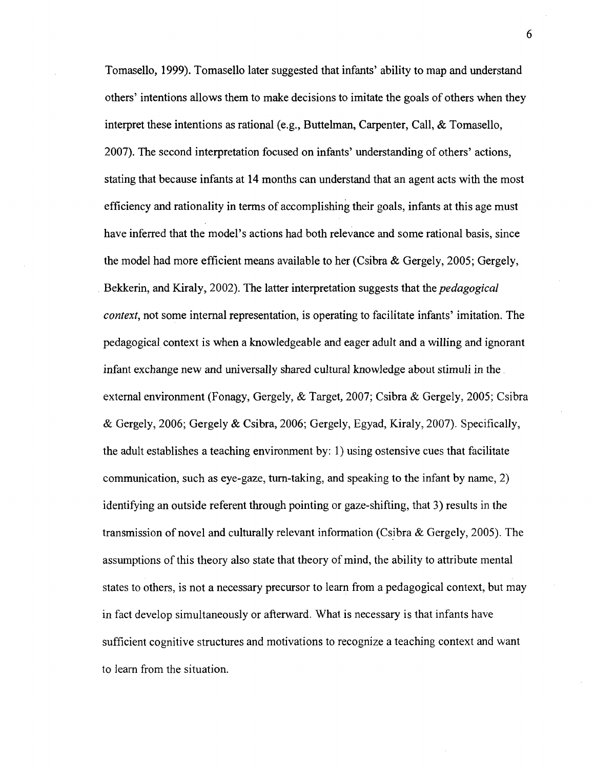Tomasello, 1999). Tomasello later suggested that infants' ability to map and understand others' intentions allows them to make decisions to imitate the goals of others when they interpret these intentions as rational (e.g., Buttelman, Carpenter, Call, & Tomasello, 2007). The second interpretation focused on infants' understanding of others' actions, stating that because infants at 14 months can understand that an agent acts with the most efficiency and rationality in terms of accomplishing their goals, infants at this age must have inferred that the model's actions had both relevance and some rational basis, since the model had more efficient means available to her (Csibra & Gergely, 2005; Gergely, Bekkerin, and Kiraly, 2002). The latter interpretation suggests that the *pedagogical context,* not some internal representation, is operating to facilitate infants' imitation. The pedagogical context is when a knowledgeable and eager adult and a willing and ignorant infant exchange new and universally shared cultural knowledge about stimuli in the external environment (Fonagy, Gergely, & Target, 2007; Csibra & Gergely, 2005; Csibra & Gergely, 2006; Gergely & Csibra, 2006; Gergely, Egyad, Kiraly, 2007). Specifically, the adult establishes a teaching environment by: 1) using ostensive cues that facilitate communication, such as eye-gaze, turn-taking, and speaking to the infant by name, 2) identifying an outside referent through pointing or gaze-shifting, that 3) results in the transmission of novel and culturally relevant information (Csibra  $\&$  Gergely, 2005). The assumptions of this theory also state that theory of mind, the ability to attribute mental states to others, is not a necessary precursor to learn from a pedagogical context, but may in fact develop simultaneously or afterward. What is necessary is that infants have sufficient cognitive structures and motivations to recognize a teaching context and want to learn from the situation.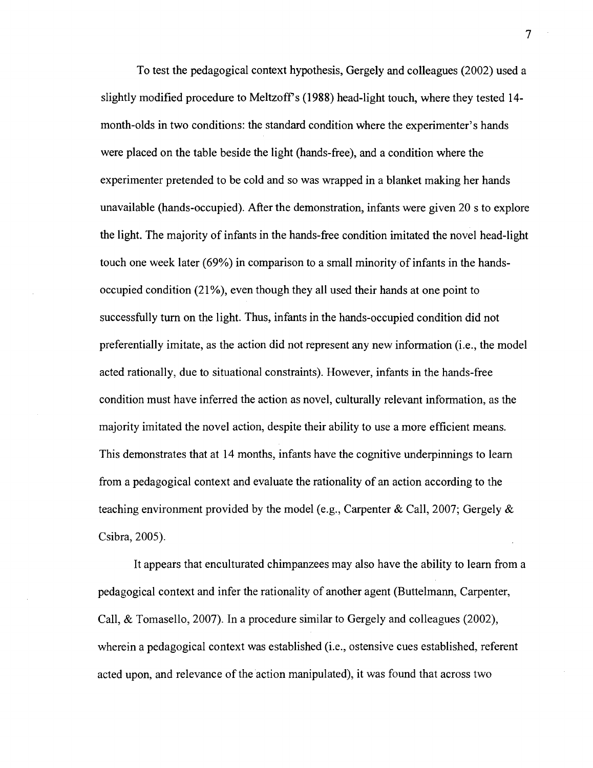To test the pedagogical context hypothesis, Gergely and colleagues (2002) used a slightly modified procedure to Meltzoff's (1988) head-light touch, where they tested 14month-olds in two conditions: the standard condition where the experimenter's hands were placed on the table beside the light (hands-free), and a condition where the experimenter pretended to be cold and so was wrapped in a blanket making her hands unavailable (hands-occupied). After the demonstration, infants were given 20 s to explore the light. The majority of infants in the hands-free condition imitated the novel head-light touch one week later (69%) in comparison to a small minority of infants in the handsoccupied condition (21%), even though they all used their hands at one point to successfully turn on the light. Thus, infants in the hands-occupied condition did not preferentially imitate, as the action did not represent any new information (i.e., the model acted rationally, due to situational constraints). However, infants in the hands-free condition must have inferred the action as novel, culturally relevant information, as the majority imitated the novel action, despite their ability to use a more efficient means. This demonstrates that at 14 months, infants have the cognitive underpinnings to learn from a pedagogical context and evaluate the rationality of an action according to the teaching environment provided by the model (e.g., Carpenter & Call, 2007; Gergely & Csibra, 2005).

It appears that enculturated chimpanzees may also have the ability to learn from a pedagogical context and infer the rationality of another agent (Buttelmann, Carpenter, Call, & Tomasello, 2007). In a procedure similar to Gergely and colleagues (2002), wherein a pedagogical context was established (i.e., ostensive cues established, referent acted upon, and relevance of the action manipulated), it was found that across two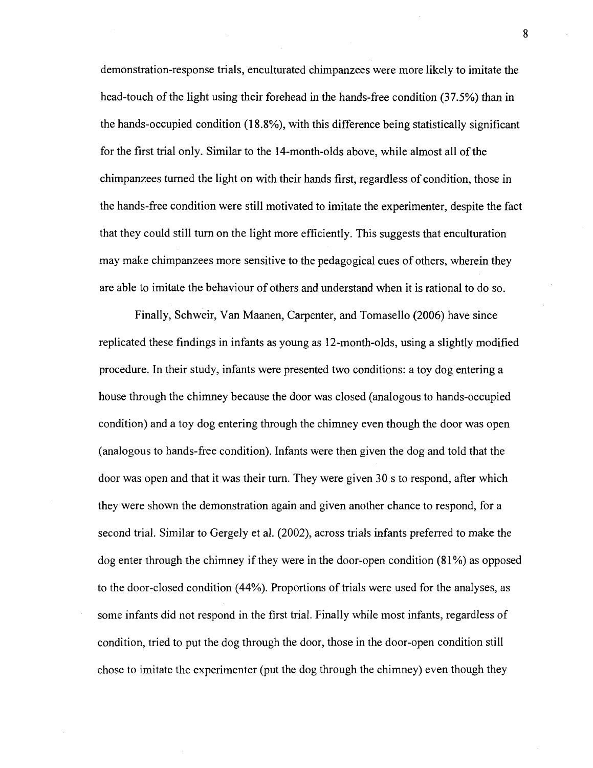demonstration-response trials, enculturated chimpanzees were more likely to imitate the head-touch of the light using their forehead in the hands-free condition (37.5%) than in the hands-occupied condition (18.8%), with this difference being statistically significant for the first trial only. Similar to the 14-month-olds above, while almost all of the chimpanzees turned the light on with their hands first, regardless of condition, those in the hands-free condition were still motivated to imitate the experimenter, despite the fact that they could still turn on the light more efficiently. This suggests that enculturation may make chimpanzees more sensitive to the pedagogical cues of others, wherein they are able to imitate the behaviour of others and understand when it is rational to do so.

Finally, Schweir, Van Maanen, Carpenter, and Tomasello (2006) have since replicated these findings in infants as young as 12-month-olds, using a slightly modified procedure. In their study, infants were presented two conditions: a toy dog entering a house through the chimney because the door was closed (analogous to hands-occupied condition) and a toy dog entering through the chimney even though the door was open (analogous to hands-free condition). Infants were then given the dog and told that the door was open and that it was their turn. They were given 30 s to respond, after which they were shown the demonstration again and given another chance to respond, for a second trial. Similar to Gergely et al. (2002), across trials infants preferred to make the dog enter through the chimney if they were in the door-open condition (81%) as opposed to the door-closed condition (44%). Proportions of trials were used for the analyses, as some infants did not respond in the first trial. Finally while most infants, regardless of condition, tried to put the dog through the door, those in the door-open condition still chose to imitate the experimenter (put the dog through the chimney) even though they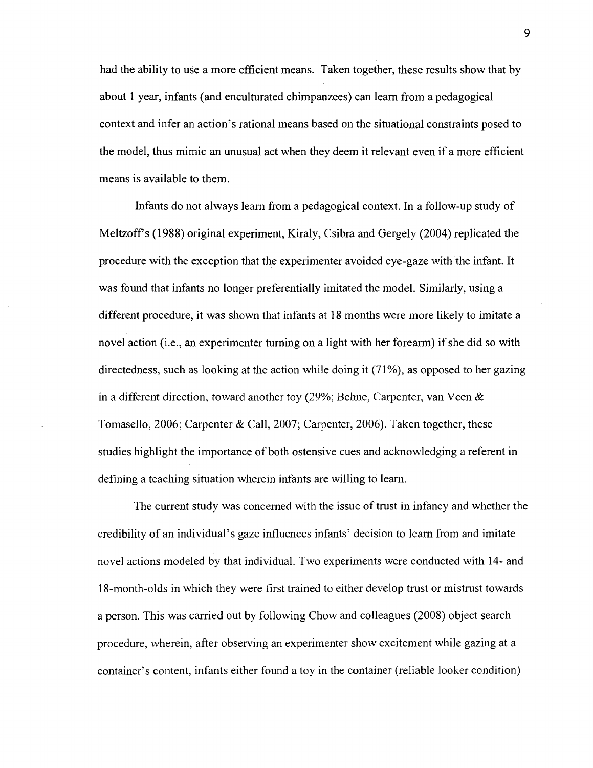had the ability to use a more efficient means. Taken together, these results show that by about 1 year, infants (and enculturated chimpanzees) can learn from a pedagogical context and infer an action's rational means based on the situational constraints posed to the model, thus mimic an unusual act when they deem it relevant even if a more efficient means is available to them.

Infants do not always learn from a pedagogical context. In a follow-up study of Meltzoff's (1988) original experiment, Kiraly, Csibra and Gergely (2004) replicated the procedure with the exception that the experimenter avoided eye-gaze with the infant. It was found that infants no longer preferentially imitated the model. Similarly, using a different procedure, it was shown that infants at 18 months were more likely to imitate a novel action (i.e., an experimenter turning on a light with her forearm) if she did so with directedness, such as looking at the action while doing it (71%), as opposed to her gazing in a different direction, toward another toy (29%; Behne, Carpenter, van Veen & Tomasello, 2006; Carpenter & Call, 2007; Carpenter, 2006). Taken together, these studies highlight the importance of both ostensive cues and acknowledging a referent in defining a teaching situation wherein infants are willing to learn.

The current study was concerned with the issue of trust in infancy and whether the credibility of an individual's gaze influences infants' decision to learn from and imitate novel actions modeled by that individual. Two experiments were conducted with 14- and 18-month-olds in which they were first trained to either develop trust or mistrust towards a person. This was carried out by following Chow and colleagues (2008) object search procedure, wherein, after observing an experimenter show excitement while gazing at a container's content, infants either found a toy in the container (reliable looker condition)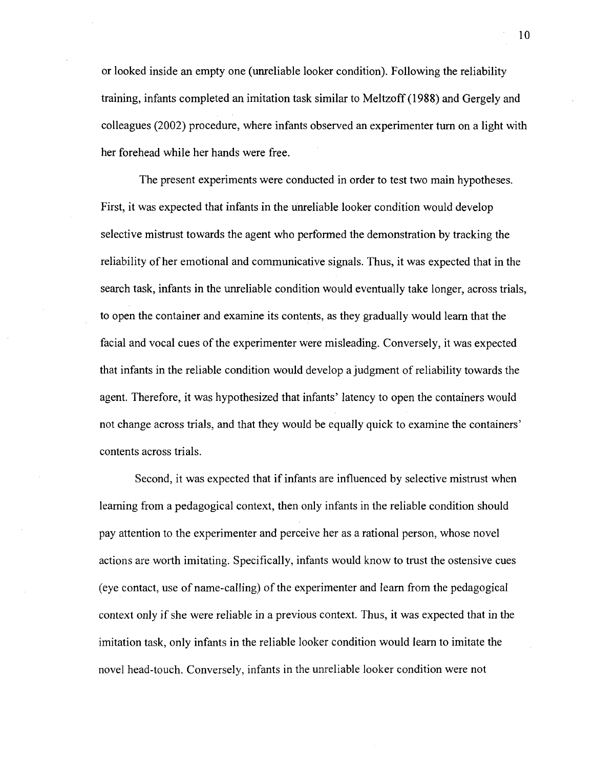or looked inside an empty one (unreliable looker condition). Following the reliability training, infants completed an imitation task similar to Meltzoff (1988) and Gergely and colleagues (2002) procedure, where infants observed an experimenter turn on a light with her forehead while her hands were free.

The present experiments were conducted in order to test two main hypotheses. First, it was expected that infants in the unreliable looker condition would develop selective mistrust towards the agent who performed the demonstration by tracking the reliability of her emotional and communicative signals. Thus, it was expected that in the search task, infants in the unreliable condition would eventually take longer, across trials, to open the container and examine its contents, as they gradually would learn that the facial and vocal cues of the experimenter were misleading. Conversely, it was expected that infants in the reliable condition would develop a judgment of reliability towards the agent. Therefore, it was hypothesized that infants' latency to open the containers would not change across trials, and that they would be equally quick to examine the containers' contents across trials.

Second, it was expected that if infants are influenced by selective mistrust when learning from a pedagogical context, then only infants in the reliable condition should pay attention to the experimenter and perceive her as a rational person, whose novel actions are worth imitating. Specifically, infants would know to trust the ostensive cues (eye contact, use of name-calling) of the experimenter and learn from the pedagogical context only if she were reliable in a previous context. Thus, it was expected that in the imitation task, only infants in the reliable looker condition would learn to imitate the novel head-touch. Conversely, infants in the unreliable looker condition were not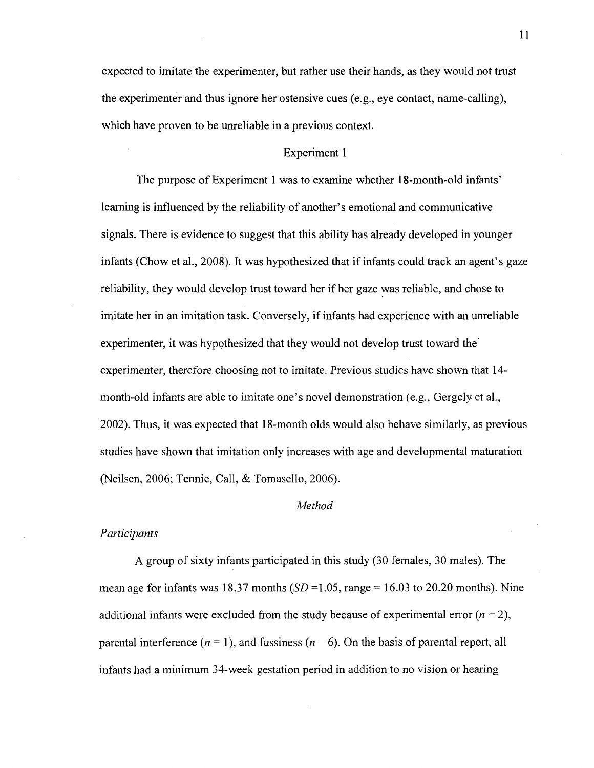expected to imitate the experimenter, but rather use their hands, as they would not trust the experimenter and thus ignore her ostensive cues (e.g., eye contact, name-calling), which have proven to be unreliable in a previous context.

#### Experiment 1

The purpose of Experiment 1 was to examine whether 18-month-old infants' learning is influenced by the reliability of another's emotional and communicative signals. There is evidence to suggest that this ability has already developed in younger infants (Chow et al., 2008). It was hypothesized that if infants could track an agent's gaze reliability, they would develop trust toward her if her gaze was reliable, and chose to imitate her in an imitation task. Conversely, if infants had experience with an unreliable experimenter, it was hypothesized that they would not develop trust toward the experimenter, therefore choosing not to imitate. Previous studies have shown that 14 month-old infants are able to imitate one's novel demonstration (e.g., Gergely et al., 2002). Thus, it was expected that 18-month olds would also behave similarly, as previous studies have shown that imitation only increases with age and developmental maturation (Neilsen, 2006; Tennie, Call, & Tomasello, 2006).

#### *Method*

#### *Participants*

A group of sixty infants participated in this study (30 females, 30 males). The mean age for infants was 18.37 months  $(SD = 1.05$ , range = 16.03 to 20.20 months). Nine additional infants were excluded from the study because of experimental error  $(n = 2)$ , parental interference *{n* = 1), and fussiness *(n =* 6). On the basis of parental report, all infants had a minimum 34-week gestation period in addition to no vision or hearing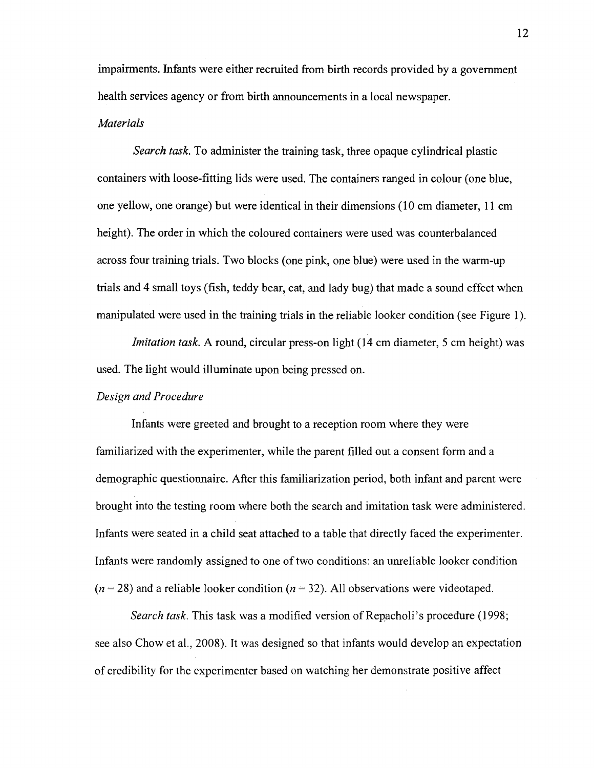impairments. Infants were either recruited from birth records provided by a government health services agency or from birth announcements in a local newspaper.

#### *Materials*

*Search task.* To administer the training task, three opaque cylindrical plastic containers with loose-fitting lids were used. The containers ranged in colour (one blue, one yellow, one orange) but were identical in their dimensions (10 cm diameter, 11 cm height). The order in which the coloured containers were used was counterbalanced across four training trials. Two blocks (one pink, one blue) were used in the warm-up trials and 4 small toys (fish, teddy bear, cat, and lady bug) that made a sound effect when manipulated were used in the training trials in the reliable looker condition (see Figure 1).

*Imitation task.* A round, circular press-on light (14 cm diameter, 5 cm height) was used. The light would illuminate upon being pressed on.

#### *Design and Procedure*

Infants were greeted and brought to a reception room where they were familiarized with the experimenter, while the parent filled out a consent form and a demographic questionnaire. After this familiarization period, both infant and parent were brought into the testing room where both the search and imitation task were administered. Infants were seated in a child seat attached to a table that directly faced the experimenter. Infants were randomly assigned to one of two conditions: an unreliable looker condition  $(n = 28)$  and a reliable looker condition  $(n = 32)$ . All observations were videotaped.

*Search task.* This task was a modified version of Repacholi's procedure (1998; see also Chow et al., 2008). It was designed so that infants would develop an expectation of credibility for the experimenter based on watching her demonstrate positive affect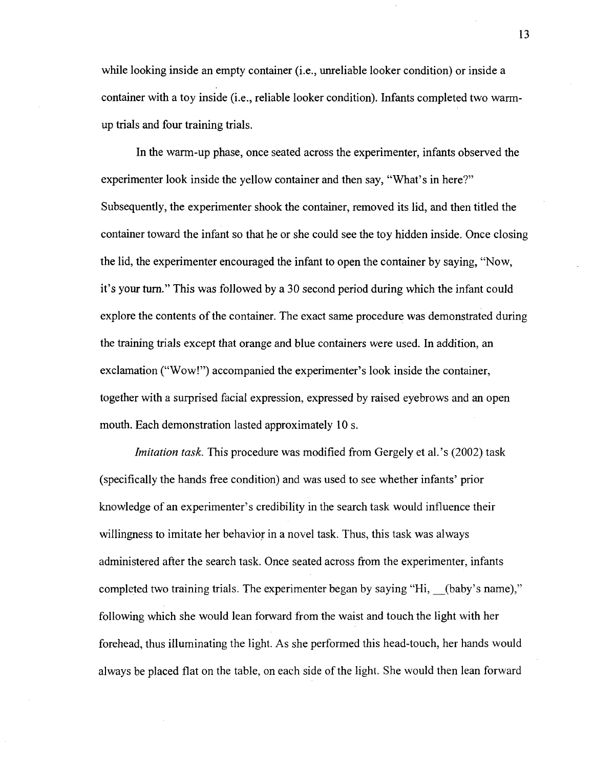while looking inside an empty container (*i.e.*, unreliable looker condition) or inside a container with a toy inside (i.e., reliable looker condition). Infants completed two warmup trials and four training trials.

In the warm-up phase, once seated across the experimenter, infants observed the experimenter look inside the yellow container and then say, "What's in here?" Subsequently, the experimenter shook the container, removed its lid, and then titled the container toward the infant so that he or she could see the toy hidden inside. Once closing the lid, the experimenter encouraged the infant to open the container by saying, "Now, it's your turn." This was followed by a 30 second period during which the infant could explore the contents of the container. The exact same procedure was demonstrated during the training trials except that orange and blue containers were used. In addition, an exclamation ("Wow!") accompanied the experimenter's look inside the container, together with a surprised facial expression, expressed by raised eyebrows and an open mouth. Each demonstration lasted approximately 10 s.

*Imitation task.* This procedure was modified from Gergely et al.'s (2002) task (specifically the hands free condition) and was used to see whether infants' prior knowledge of an experimenter's credibility in the search task would influence their willingness to imitate her behavior in a novel task. Thus, this task was always administered after the search task. Once seated across from the experimenter, infants completed two training trials. The experimenter began by saying "Hi, (baby's name)," following which she would lean forward from the waist and touch the light with her forehead, thus illuminating the light. As she performed this head-touch, her hands would always be placed flat on the table, on each side of the light. She would then lean forward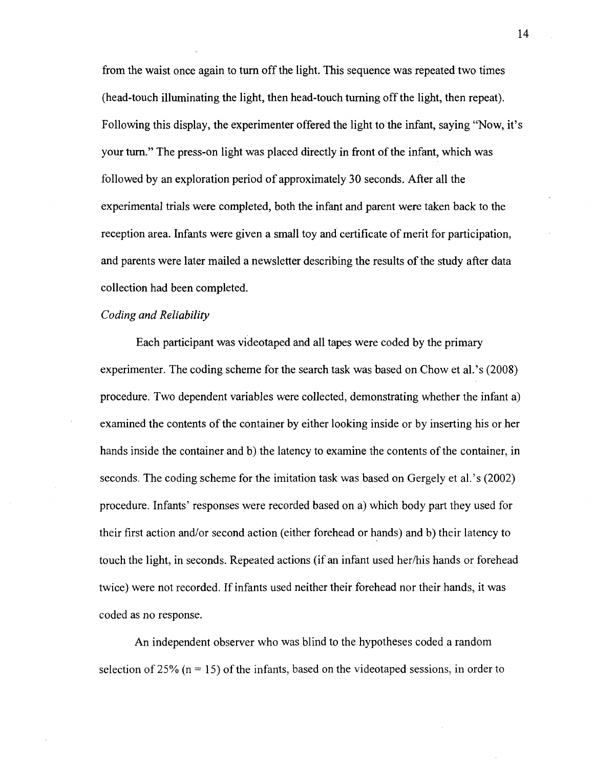from the waist once again to turn off the light. This sequence was repeated two times (head-touch illuminating the light, then head-touch turning off the light, then repeat). Following this display, the experimenter offered the light to the infant, saying "Now, it's your turn." The press-on light was placed directly in front of the infant, which was followed by an exploration period of approximately 30 seconds. After all the experimental trials were completed, both the infant and parent were taken back to the reception area. Infants were given a small toy and certificate of merit for participation, and parents were later mailed a newsletter describing the results of the study after data collection had been completed.

#### *Coding and Reliability*

Each participant was videotaped and all tapes were coded by the primary experimenter. The coding scheme for the search task was based on Chow et al.'s (2008) procedure. Two dependent variables were collected, demonstrating whether the infant a) examined the contents of the container by either looking inside or by inserting his or her hands inside the container and b) the latency to examine the contents of the container, in seconds. The coding scheme for the imitation task was based on Gergely et al.'s (2002) procedure. Infants' responses were recorded based on a) which body part they used for their first action and/or second action (either forehead or hands) and b) their latency to touch the light, in seconds. Repeated actions (if an infant used her/his hands or forehead twice) were not recorded. If infants used neither their forehead nor their hands, it was coded as no response.

An independent observer who was blind to the hypotheses coded a random selection of 25% ( $n = 15$ ) of the infants, based on the videotaped sessions, in order to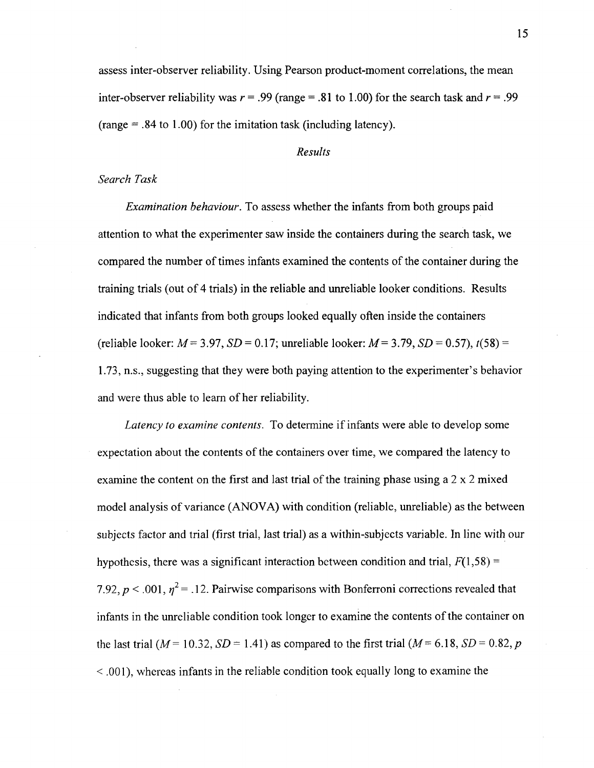assess inter-observer reliability. Using Pearson product-moment correlations, the mean inter-observer reliability was  $r = .99$  (range = .81 to 1.00) for the search task and  $r = .99$  $(range = .84 to 1.00)$  for the imitation task (including latency).

#### *Results*

#### *Search Task*

*Examination behaviour.* To assess whether the infants from both groups paid attention to what the experimenter saw inside the containers during the search task, we compared the number of times infants examined the contents of the container during the training trials (out of 4 trials) in the reliable and unreliable looker conditions. Results indicated that infants from both groups looked equally often inside the containers (reliable looker:  $M = 3.97$ ,  $SD = 0.17$ ; unreliable looker:  $M = 3.79$ ,  $SD = 0.57$ ),  $t(58) =$ 1.73, n.s., suggesting that they were both paying attention to the experimenter's behavior and were thus able to learn of her reliability.

*Latency to examine contents.* To determine if infants were able to develop some expectation about the contents of the containers over time, we compared the latency to examine the content on the first and last trial of the training phase using a  $2 \times 2$  mixed model analysis of variance (ANOVA) with condition (reliable, unreliable) as the between subjects factor and trial (first trial, last trial) as a within-subjects variable. In line with our hypothesis, there was a significant interaction between condition and trial,  $F(1,58) =$ 7.92,  $p < 0.001$ ,  $\eta^2 = 0.12$ . Pairwise comparisons with Bonferroni corrections revealed that infants in the unreliable condition took longer to examine the contents of the container on the last trial ( $M = 10.32$ ,  $SD = 1.41$ ) as compared to the first trial ( $M = 6.18$ ,  $SD = 0.82$ , p < .001), whereas infants in the reliable condition took equally long to examine the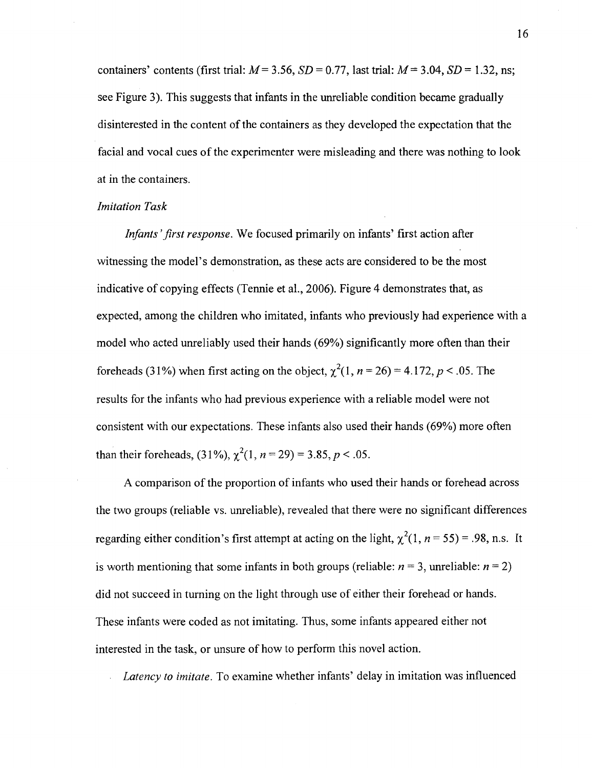containers' contents (first trial: *M=* 3.56, *SD =* 0.77, last trial: *M=* 3.04, *SD* = 1.32, ns; see Figure 3). This suggests that infants in the unreliable condition became gradually disinterested in the content of the containers as they developed the expectation that the facial and vocal cues of the experimenter were misleading and there was nothing to look at in the containers.

#### *Imitation Task*

*Infants 'first response.* We focused primarily on infants' first action after witnessing the model's demonstration, as these acts are considered to be the most indicative of copying effects (Tennie et al., 2006). Figure 4 demonstrates that, as expected, among the children who imitated, infants who previously had experience with a model who acted unreliably used their hands (69%) significantly more often than their foreheads (31%) when first acting on the object,  $\chi^2(1, n = 26) = 4.172$ ,  $p < .05$ . The results for the infants who had previous experience with a reliable model were not consistent with our expectations. These infants also used their hands (69%) more often than their foreheads,  $(31\%)$ ,  $\chi^2(1, n = 29) = 3.85, p < .05$ .

A comparison of the proportion of infants who used their hands or forehead across the two groups (reliable vs. unreliable), revealed that there were no significant differences regarding either condition's first attempt at acting on the light,  $\chi^2(1, n = 55) = .98$ , n.s. It is worth mentioning that some infants in both groups (reliable:  $n = 3$ , unreliable:  $n = 2$ ) did not succeed in turning on the light through use of either their forehead or hands. These infants were coded as not imitating. Thus, some infants appeared either not interested in the task, or unsure of how to perform this novel action.

*Latency to imitate.* To examine whether infants' delay in imitation was influenced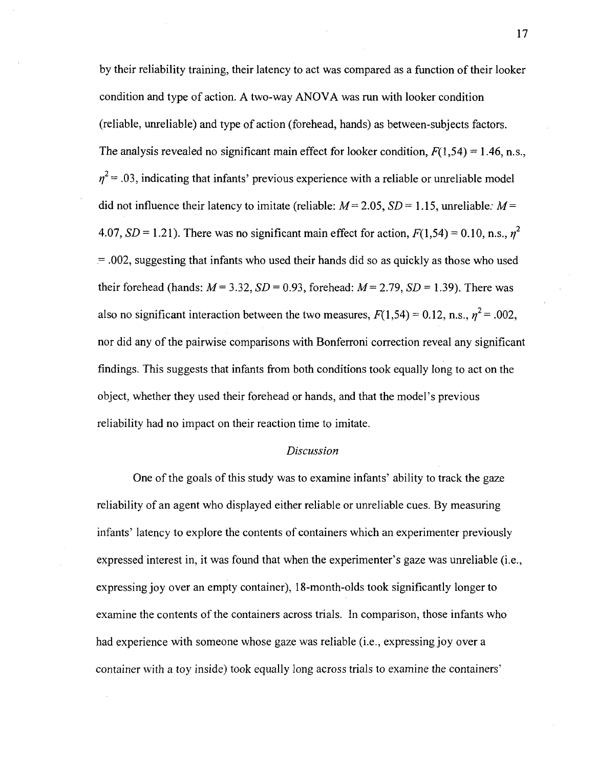by their reliability training, their latency to act was compared as a function of their looker condition and type of action. A two-way ANOVA was run with looker condition (reliable, unreliable) and type of action (forehead, hands) as between-subjects factors. The analysis revealed no significant main effect for looker condition,  $F(1,54) = 1.46$ , n.s.,  $\eta^2$  = .03, indicating that infants' previous experience with a reliable or unreliable model did not influence their latency to imitate (reliable:  $M = 2.05$ ,  $SD = 1.15$ , unreliable:  $M =$ 4.07,  $SD = 1.21$ ). There was no significant main effect for action,  $F(1.54) = 0.10$ , n.s.,  $n^2$  $= .002$ , suggesting that infants who used their hands did so as quickly as those who used their forehead (hands: *M=* 3.32, *SD =* 0.93, forehead: *M=* 2.79, *SD =* 1.39). There was also no significant interaction between the two measures,  $F(1,54) = 0.12$ , n.s.,  $\eta^2 = .002$ , nor did any of the pairwise comparisons with Bonferroni correction reveal any significant findings. This suggests that infants from both conditions took equally long to act on the object, whether they used their forehead or hands, and that the model's previous reliability had no impact on their reaction time to imitate.

#### *Discussion*

One of the goals of this study was to examine infants' ability to track the gaze reliability of an agent who displayed either reliable or unreliable cues. By measuring infants' latency to explore the contents of containers which an experimenter previously expressed interest in, it was found that when the experimenter's gaze was unreliable (i.e., expressing joy over an empty container), 18-month-olds took significantly longer to examine the contents of the containers across trials. In comparison, those infants who had experience with someone whose gaze was reliable (i.e., expressing joy over a container with a toy inside) took equally long across trials to examine the containers'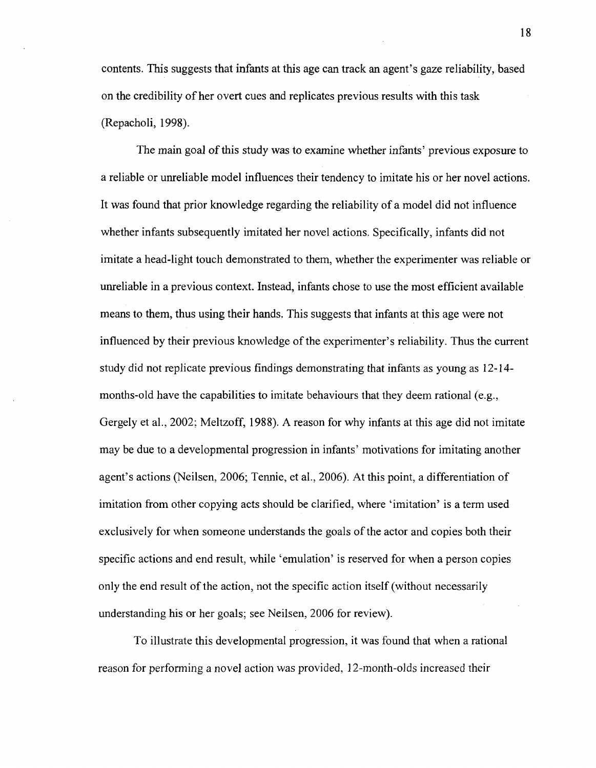contents. This suggests that infants at this age can track an agent's gaze reliability, based on the credibility of her overt cues and replicates previous results with this task (Repacholi, 1998).

The main goal of this study was to examine whether infants' previous exposure to a reliable or unreliable model influences their tendency to imitate his or her novel actions. It was found that prior knowledge regarding the reliability of a model did not influence whether infants subsequently imitated her novel actions. Specifically, infants did not imitate a head-light touch demonstrated to them, whether the experimenter was reliable or unreliable in a previous context. Instead, infants chose to use the most efficient available means to them, thus using their hands. This suggests that infants at this age were not influenced by their previous knowledge of the experimenter's reliability. Thus the current study did not replicate previous findings demonstrating that infants as young as 12-14 months-old have the capabilities to imitate behaviours that they deem rational (e.g., Gergely et al., 2002: Meltzoff, 1988). A reason for why infants at this age did not imitate may be due to a developmental progression in infants' motivations for imitating another agent's actions (Neilsen, 2006; Tennie, et al., 2006). At this point, a differentiation of imitation from other copying acts should be clarified, where 'imitation' is a term used exclusively for when someone understands the goals of the actor and copies both their specific actions and end result, while 'emulation' is reserved for when a person copies only the end result of the action, not the specific action itself (without necessarily understanding his or her goals; see Neilsen, 2006 for review).

To illustrate this developmental progression, it was found that when a rational reason for performing a novel action was provided, 12-month-olds increased their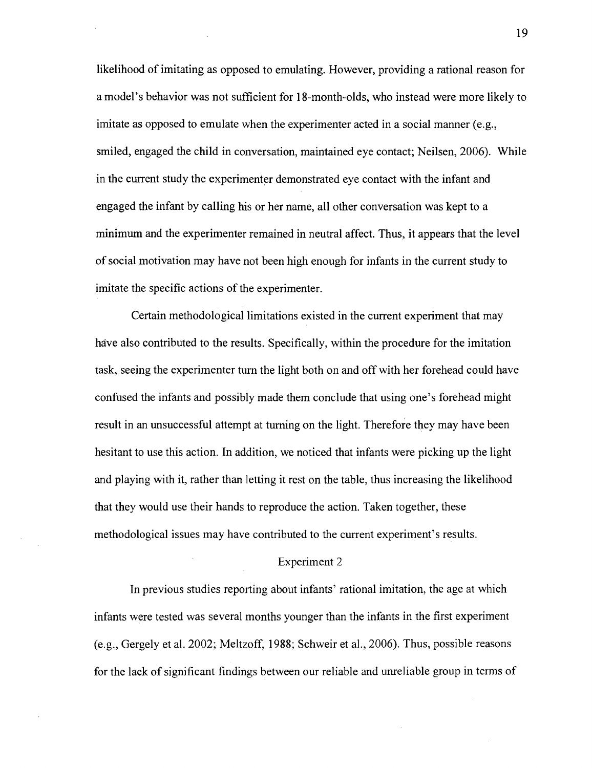likelihood of imitating as opposed to emulating. However, providing a rational reason for a model's behavior was not sufficient for 18-month-olds, who instead were more likely to imitate as opposed to emulate when the experimenter acted in a social manner (e.g., smiled, engaged the child in conversation, maintained eye contact; Neilsen, 2006). While in the current study the experimenter demonstrated eye contact with the infant and engaged the infant by calling his or her name, all other conversation was kept to a minimum and the experimenter remained in neutral affect. Thus, it appears that the level of social motivation may have not been high enough for infants in the current study to imitate the specific actions of the experimenter.

Certain methodological limitations existed in the current experiment that may have also contributed to the results. Specifically, within the procedure for the imitation task, seeing the experimenter turn the light both on and off with her forehead could have confused the infants and possibly made them conclude that using one's forehead might result in an unsuccessful attempt at turning on the light. Therefore they may have been hesitant to use this action. In addition, we noticed that infants were picking up the light and playing with it, rather than letting it rest on the table, thus increasing the likelihood that they would use their hands to reproduce the action. Taken together, these methodological issues may have contributed to the current experiment's results.

#### Experiment 2

In previous studies reporting about infants' rational imitation, the age at which infants were tested was several months younger than the infants in the first experiment (e.g., Gergely et al. 2002; Meltzoff, 1988; Schweir et al., 2006). Thus, possible reasons for the lack of significant findings between our reliable and unreliable group in terms of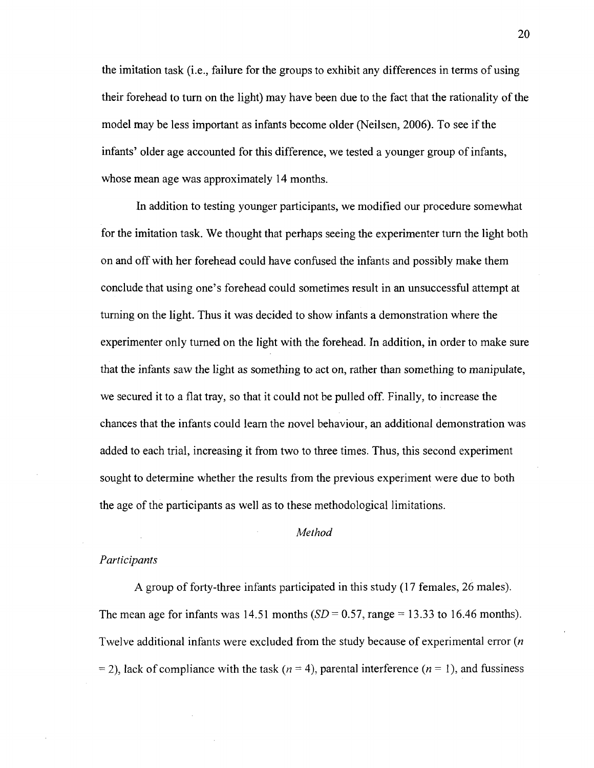the imitation task (i.e., failure for the groups to exhibit any differences in terms of using their forehead to turn on the light) may have been due to the fact that the rationality of the model may be less important as infants become older (Neilsen, 2006). To see if the infants' older age accounted for this difference, we tested a younger group of infants, whose mean age was approximately 14 months.

In addition to testing younger participants, we modified our procedure somewhat for the imitation task. We thought that perhaps seeing the experimenter turn the light both on and off with her forehead could have confused the infants and possibly make them conclude that using one's forehead could sometimes result in an unsuccessful attempt at turning on the light. Thus it was decided to show infants a demonstration where the experimenter only turned on the light with the forehead. In addition, in order to make sure that the infants saw the light as something to act on, rather than something to manipulate, we secured it to a flat tray, so that it could not be pulled off. Finally, to increase the chances that the infants could learn the novel behaviour, an additional demonstration was added to each trial, increasing it from two to three times. Thus, this second experiment sought to determine whether the results from the previous experiment were due to both the age of the participants as well as to these methodological limitations.

#### *Method*

#### *Participants*

A group of forty-three infants participated in this study (17 females, 26 males). The mean age for infants was 14.51 months  $(SD = 0.57, \text{range} = 13.33 \text{ to } 16.46 \text{ months}).$ Twelve additional infants were excluded from the study because of experimental error *(n*  = 2), lack of compliance with the task *(n =* 4), parental interference *(n* = 1), and fussiness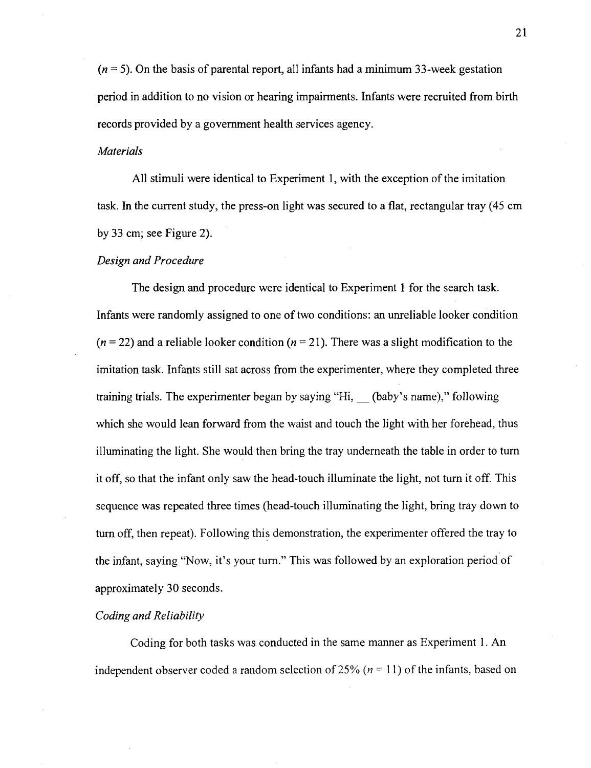$(n = 5)$ . On the basis of parental report, all infants had a minimum 33-week gestation period in addition to no vision or hearing impairments. Infants were recruited from birth records provided by a government health services agency.

#### *Materials*

All stimuli were identical to Experiment 1, with the exception of the imitation task. In the current study, the press-on light was secured to a flat, rectangular tray (45 cm by 33 cm; see Figure 2).

#### *Design and Procedure*

The design and procedure were identical to Experiment 1 for the search task. Infants were randomly assigned to one of two conditions: an unreliable looker condition  $(n = 22)$  and a reliable looker condition  $(n = 21)$ . There was a slight modification to the imitation task. Infants still sat across from the experimenter, where they completed three training trials. The experimenter began by saying "Hi, (baby's name)," following which she would lean forward from the waist and touch the light with her forehead, thus illuminating the light. She would then bring the tray underneath the table in order to turn it off, so that the infant only saw the head-touch illuminate the light, not turn it off. This sequence was repeated three times (head-touch illuminating the light, bring tray down to turn off, then repeat). Following this demonstration, the experimenter offered the tray to the infant, saying "Now, it's your turn." This was followed by an exploration period of approximately 30 seconds.

#### *Coding and Reliability*

Coding for both tasks was conducted in the same manner as Experiment 1. An independent observer coded a random selection of 25%  $(n = 11)$  of the infants, based on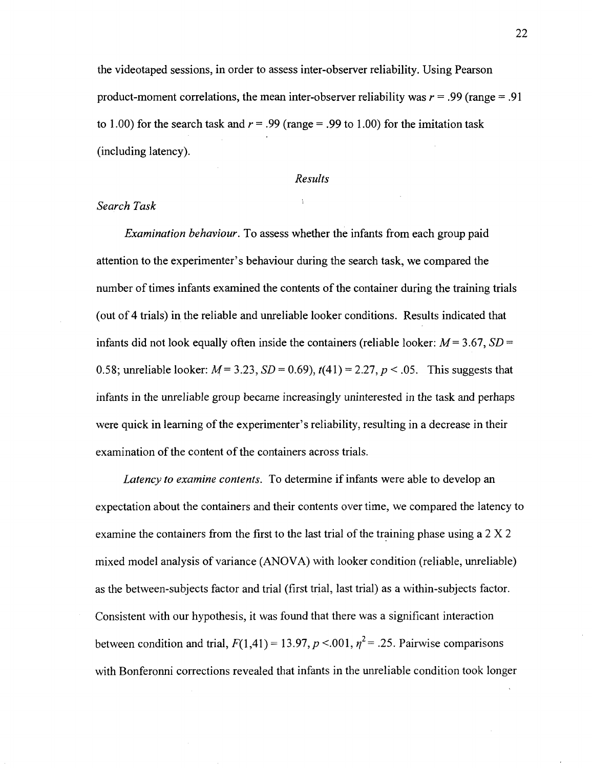the videotaped sessions, in order to assess inter-observer reliability. Using Pearson product-moment correlations, the mean inter-observer reliability was  $r = .99$  (range  $= .91$ ) to 1.00) for the search task and  $r = .99$  (range = .99 to 1.00) for the imitation task (including latency).

#### *Results*

 $\chi$ 

#### *Search Task*

*Examination behaviour.* To assess whether the infants from each group paid attention to the experimenter's behaviour during the search task, we compared the number of times infants examined the contents of the container during the training trials (out of 4 trials) in the reliable and unreliable looker conditions. Results indicated that infants did not look equally often inside the containers (reliable looker:  $M = 3.67$ ,  $SD =$ 0.58; unreliable looker: *M=* 3.23, *SD =* 0.69), *t(41) =* 2.27, *p <* .05. This suggests that infants in the unreliable group became increasingly uninterested in the task and perhaps were quick in learning of the experimenter's reliability, resulting in a decrease in their examination of the content of the containers across trials.

*Latency to examine contents.* To determine if infants were able to develop an expectation about the containers and their contents over time, we compared the latency to examine the containers from the first to the last trial of the training phase using a 2 X 2 mixed model analysis of variance (ANOVA) with looker condition (reliable, unreliable) as the between-subjects factor and trial (first trial, last trial) as a within-subjects factor. Consistent with our hypothesis, it was found that there was a significant interaction between condition and trial,  $F(1,41) = 13.97, p < .001, \eta^2 = .25$ . Pairwise comparisons with Bonferonni corrections revealed that infants in the unreliable condition took longer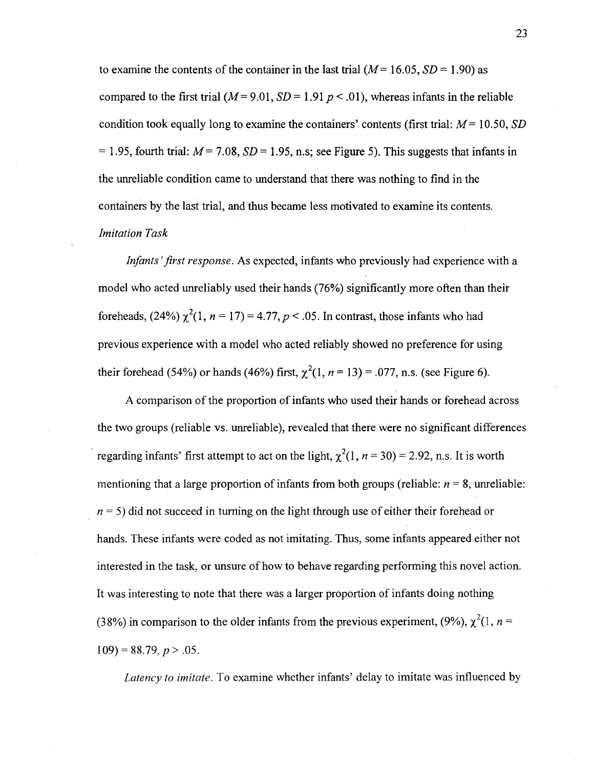to examine the contents of the container in the last trial  $(M= 16.05, SD = 1.90)$  as compared to the first trial  $(M= 9.01, SD = 1.91 p < .01)$ , whereas infants in the reliable condition took equally long to examine the containers' contents (first trial: *M=* 10.50, *SD*  = 1.95, fourth trial: *M=* 7.08, *SD* = 1.95, n.s; see Figure 5). This suggests that infants in the unreliable condition came to understand that there was nothing to find in the containers by the last trial, and thus became less motivated to examine its contents. *Imitation Task* 

*Infants 'first response.* As expected, infants who previously had experience with a model who acted unreliably used their hands (76%) significantly more often than their foreheads, (24%)  $\chi^2(1, n=17) = 4.77, p < .05$ . In contrast, those infants who had previous experience with a model who acted reliably showed no preference for using their forehead (54%) or hands (46%) first,  $\chi^2(1, n = 13) = .077$ , n.s. (see Figure 6).

A comparison of the proportion of infants who used their hands or forehead across the two groups (reliable vs. unreliable), revealed that there were no significant differences regarding infants' first attempt to act on the light,  $\chi^2(1, n = 30) = 2.92$ , n.s. It is worth mentioning that a large proportion of infants from both groups (reliable:  $n = 8$ , unreliable:  $n = 5$ ) did not succeed in turning on the light through use of either their forehead or hands. These infants were coded as not imitating. Thus, some infants appeared either not interested in the task, or unsure of how to behave regarding performing this novel action. It was interesting to note that there was a larger proportion of infants doing nothing (38%) in comparison to the older infants from the previous experiment, (9%),  $\chi^2(1, n =$  $109$ ) = 88.79,  $p > .05$ .

*Latency to imitate.* To examine whether infants' delay to imitate was influenced by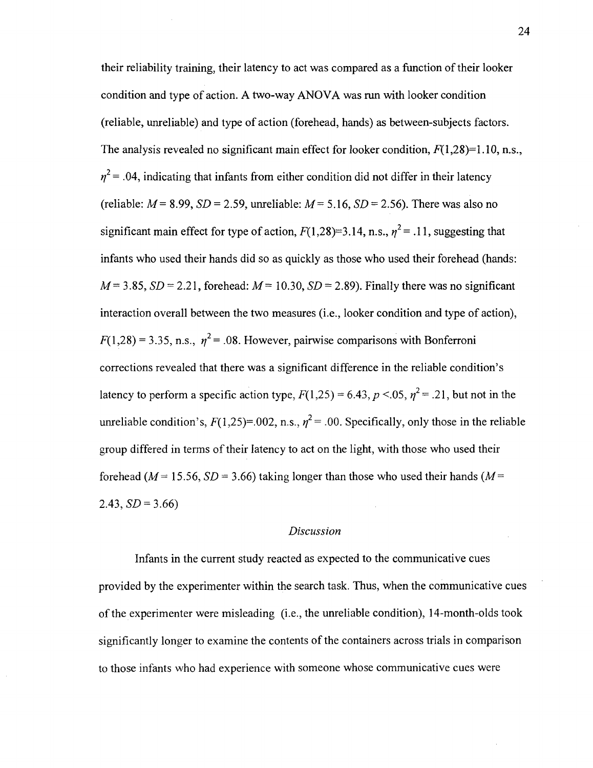their reliability training, their latency to act was compared as a function of their looker condition and type of action. A two-way ANOVA was run with looker condition (reliable, unreliable) and type of action (forehead, hands) as between-subjects factors. The analysis revealed no significant main effect for looker condition,  $F(1,28)=1.10$ , n.s.,  $\eta^2$  = .04, indicating that infants from either condition did not differ in their latency (reliable:  $M = 8.99$ ,  $SD = 2.59$ , unreliable:  $M = 5.16$ ,  $SD = 2.56$ ). There was also no significant main effect for type of action,  $F(1,28)=3.14$ , n.s.,  $n^2 = .11$ , suggesting that infants who used their hands did so as quickly as those who used their forehead (hands:  $M=3.85$ ,  $SD=2.21$ , forehead:  $M=10.30$ ,  $SD=2.89$ ). Finally there was no significant interaction overall between the two measures (i.e., looker condition and type of action),  $F(1,28) = 3.35$ , n.s.,  $\eta^2 = .08$ . However, pairwise comparisons with Bonferroni corrections revealed that there was a significant difference in the reliable condition's latency to perform a specific action type,  $F(1,25) = 6.43$ ,  $p < 0.05$ ,  $n^2 = .21$ , but not in the unreliable condition's,  $F(1,25)=0.002$ , n.s.,  $n^2 = 0.00$ . Specifically, only those in the reliable group differed in terms of their latency to act on the light, with those who used their forehead ( $M=15.56$ ,  $SD=3.66$ ) taking longer than those who used their hands ( $M=$ 2.43, *SD =* 3.66)

#### *Discussion*

Infants in the current study reacted as expected to the communicative cues provided by the experimenter within the search task. Thus, when the communicative cues of the experimenter were misleading (i.e., the unreliable condition), 14-month-olds took significantly longer to examine the contents of the containers across trials in comparison to those infants who had experience with someone whose communicative cues were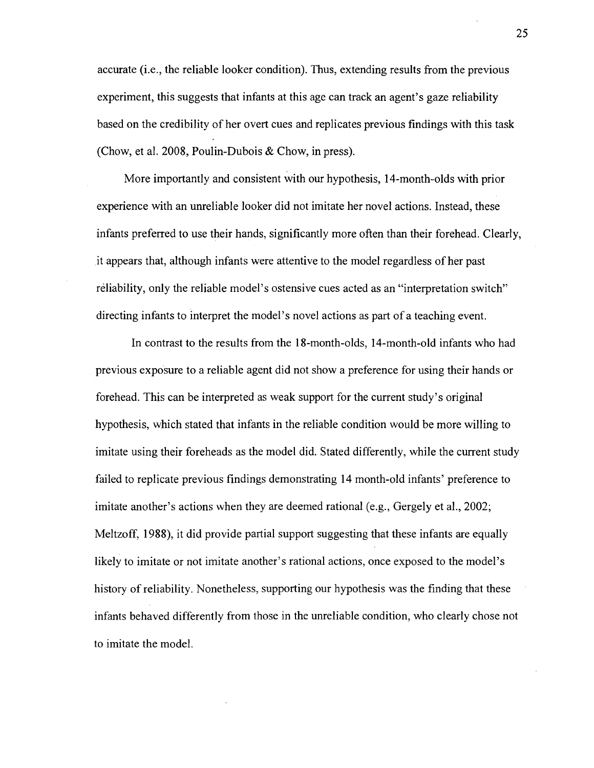accurate (i.e., the reliable looker condition). Thus, extending results from the previous experiment, this suggests that infants at this age can track an agent's gaze reliability based on the credibility of her overt cues and replicates previous findings with this task (Chow, et al. 2008, Poulin-Dubois & Chow, in press).

More importantly and consistent with our hypothesis, 14-month-olds with prior experience with an unreliable looker did not imitate her novel actions. Instead, these infants preferred to use their hands, significantly more often than their forehead. Clearly, it appears that, although infants were attentive to the model regardless of her past reliability, only the reliable model's ostensive cues acted as an "interpretation switch" directing infants to interpret the model's novel actions as part of a teaching event.

In contrast to the results from the 18-month-olds, 14-month-old infants who had previous exposure to a reliable agent did not show a preference for using their hands or forehead. This can be interpreted as weak support for the current study's original hypothesis, which stated that infants in the reliable condition would be more willing to imitate using their foreheads as the model did. Stated differently, while the current study failed to replicate previous findings demonstrating 14 month-old infants' preference to imitate another's actions when they are deemed rational (e.g., Gergely et al., 2002; Meltzoff, 1988), it did provide partial support suggesting that these infants are equally likely to imitate or not imitate another's rational actions, once exposed to the model's history of reliability. Nonetheless, supporting our hypothesis was the finding that these infants behaved differently from those in the unreliable condition, who clearly chose not to imitate the model.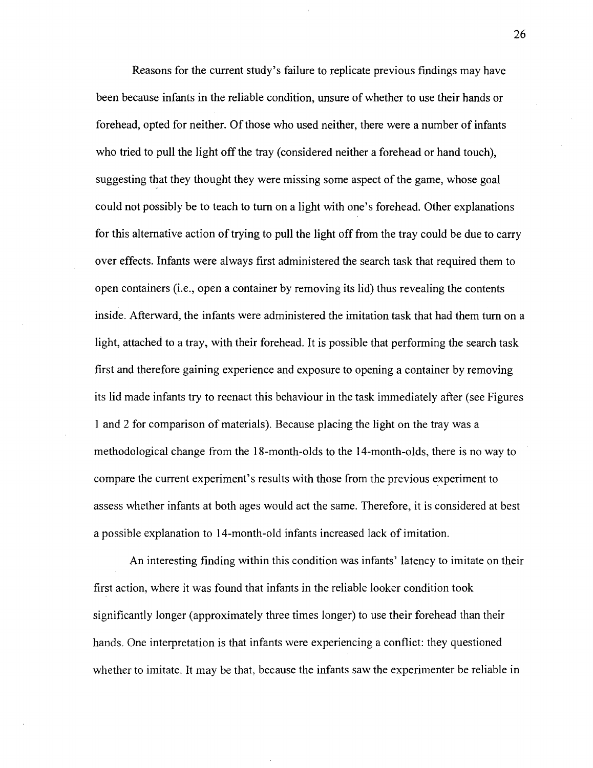Reasons for the current study's failure to replicate previous findings may have been because infants in the reliable condition, unsure of whether to use their hands or forehead, opted for neither. Of those who used neither, there were a number of infants who tried to pull the light off the tray (considered neither a forehead or hand touch), suggesting that they thought they were missing some aspect of the game, whose goal could not possibly be to teach to turn on a light with one's forehead. Other explanations for this alternative action of trying to pull the light off from the tray could be due to carry over effects. Infants were always first administered the search task that required them to open containers (i.e., open a container by removing its lid) thus revealing the contents inside. Afterward, the infants were administered the imitation task that had them turn on a light, attached to a tray, with their forehead. It is possible that performing the search task first and therefore gaining experience and exposure to opening a container by removing its lid made infants try to reenact this behaviour in the task immediately after (see Figures 1 and 2 for comparison of materials). Because placing the light on the tray was a methodological change from the 18-month-olds to the 14-month-olds, there is no way to compare the current experiment's results with those from the previous experiment to assess whether infants at both ages would act the same. Therefore, it is considered at best a possible explanation to 14-month-old infants increased lack of imitation.

An interesting finding within this condition was infants' latency to imitate on their first action, where it was found that infants in the reliable looker condition took significantly longer (approximately three times longer) to use their forehead than their hands. One interpretation is that infants were experiencing a conflict: they questioned whether to imitate. It may be that, because the infants saw the experimenter be reliable in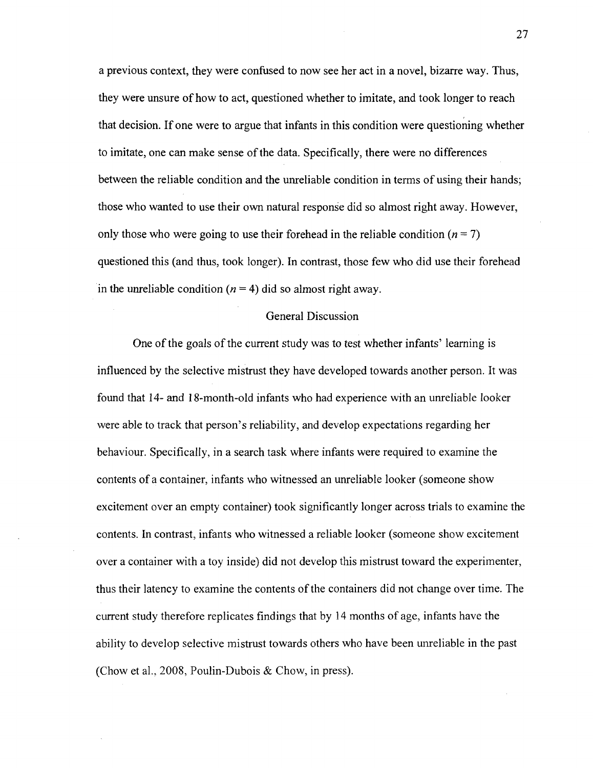a previous context, they were confused to now see her act in a novel, bizarre way. Thus, they were unsure of how to act, questioned whether to imitate, and took longer to reach that decision. If one were to argue that infants in this condition were questioning whether to imitate, one can make sense of the data. Specifically, there were no differences between the reliable condition and the unreliable condition in terms of using their hands; those who wanted to use their own natural response did so almost right away. However, only those who were going to use their forehead in the reliable condition  $(n = 7)$ questioned this (and thus, took longer). In contrast, those few who did use their forehead in the unreliable condition  $(n = 4)$  did so almost right away.

#### General Discussion

One of the goals of the current study was to test whether infants' learning is influenced by the selective mistrust they have developed towards another person. It was found that 14- and 18-month-old infants who had experience with an unreliable looker were able to track that person's reliability, and develop expectations regarding her behaviour. Specifically, in a search task where infants were required to examine the contents of a container, infants who witnessed an unreliable looker (someone show excitement over an empty container) took significantly longer across trials to examine the contents. In contrast, infants who witnessed a reliable looker (someone show excitement over a container with a toy inside) did not develop this mistrust toward the experimenter, thus their latency to examine the contents of the containers did not change over time. The current study therefore replicates findings that by 14 months of age, infants have the ability to develop selective mistrust towards others who have been unreliable in the past (Chow et al., 2008, Poulin-Dubois & Chow, in press).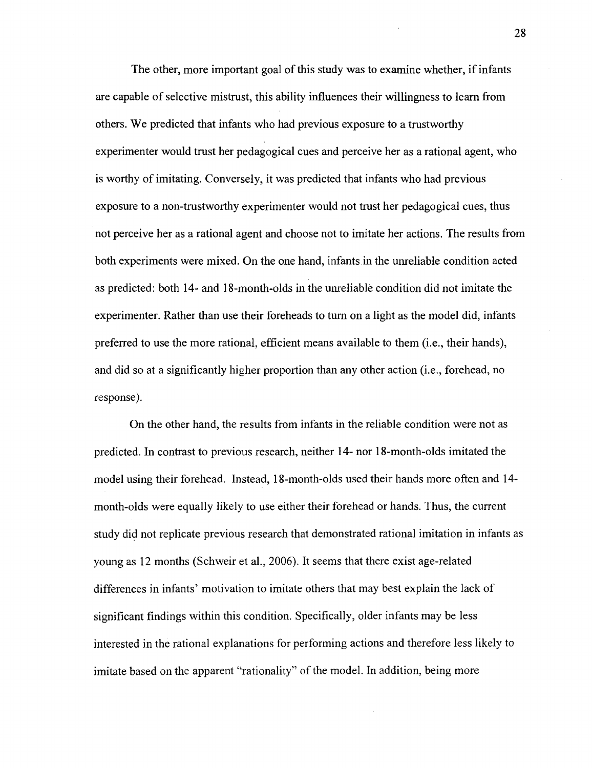The other, more important goal of this study was to examine whether, if infants are capable of selective mistrust, this ability influences their willingness to learn from others. We predicted that infants who had previous exposure to a trustworthy experimenter would trust her pedagogical cues and perceive her as a rational agent, who is worthy of imitating. Conversely, it was predicted that infants who had previous exposure to a non-trustworthy experimenter would not trust her pedagogical cues, thus not perceive her as a rational agent and choose not to imitate her actions. The results from both experiments were mixed. On the one hand, infants in the unreliable condition acted as predicted: both 14- and 18-month-olds in the unreliable condition did not imitate the experimenter. Rather than use their foreheads to turn on a light as the model did, infants preferred to use the more rational, efficient means available to them (i.e., their hands), and did so at a significantly higher proportion than any other action (i.e., forehead, no response).

On the other hand, the results from infants in the reliable condition were not as predicted. In contrast to previous research, neither 14- nor 18-month-olds imitated the model using their forehead. Instead, 18-month-olds used their hands more often and 14 month-olds were equally likely to use either their forehead or hands. Thus, the current study did not replicate previous research that demonstrated rational imitation in infants as young as 12 months (Schweir et al., 2006). It seems that there exist age-related differences in infants' motivation to imitate others that may best explain the lack of significant findings within this condition. Specifically, older infants may be less interested in the rational explanations for performing actions and therefore less likely to imitate based on the apparent "rationality" of the model. In addition, being more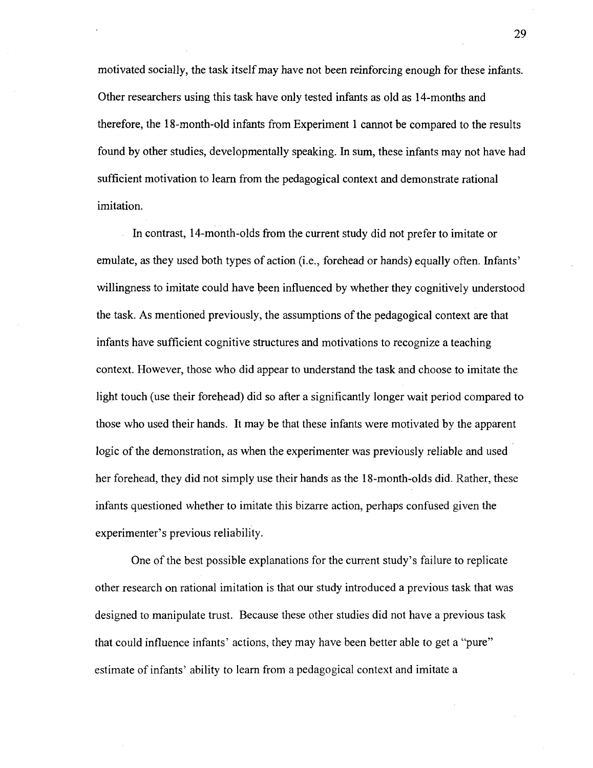motivated socially, the task itself may have not been reinforcing enough for these infants. Other researchers using this task have only tested infants as old as 14-months and therefore, the 18-month-old infants from Experiment 1 cannot be compared to the results found by other studies, developmentally speaking. In sum, these infants may not have had sufficient motivation to learn from the pedagogical context and demonstrate rational imitation.

In contrast, 14-month-olds from the current study did not prefer to imitate or emulate, as they used both types of action (i.e., forehead or hands) equally often. Infants' willingness to imitate could have been influenced by whether they cognitively understood the task. As mentioned previously, the assumptions of the pedagogical context are that infants have sufficient cognitive structures and motivations to recognize a teaching context. However, those who did appear to understand the task and choose to imitate the light touch (use their forehead) did so after a significantly longer wait period compared to those who used their hands. It may be that these infants were motivated by the apparent logic of the demonstration, as when the experimenter was previously reliable and used her forehead, they did not simply use their hands as the 18-month-olds did. Rather, these infants questioned whether to imitate this bizarre action, perhaps confused given the experimenter's previous reliability.

One of the best possible explanations for the current study's failure to replicate other research on rational imitation is that our study introduced a previous task that was designed to manipulate trust. Because these other studies did not have a previous task that could influence infants' actions, they may have been better able to get a "pure" estimate of infants' ability to learn from a pedagogical context and imitate a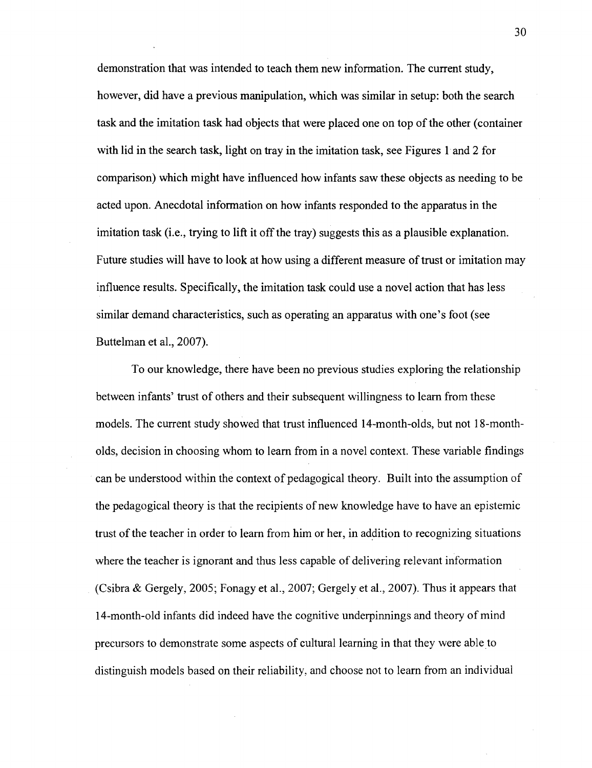demonstration that was intended to teach them new information. The current study, however, did have a previous manipulation, which was similar in setup: both the search task and the imitation task had objects that were placed one on top of the other (container with lid in the search task, light on tray in the imitation task, see Figures 1 and 2 for comparison) which might have influenced how infants saw these objects as needing to be acted upon. Anecdotal information on how infants responded to the apparatus in the imitation task (i.e., trying to lift it off the tray) suggests this as a plausible explanation. Future studies will have to look at how using a different measure of trust or imitation may influence results. Specifically, the imitation task could use a novel action that has less similar demand characteristics, such as operating an apparatus with one's foot (see Buttelman et al., 2007).

To our knowledge, there have been no previous studies exploring the relationship between infants' trust of others and their subsequent willingness to learn from these models. The current study showed that trust influenced 14-month-olds, but not 18-montholds, decision in choosing whom to learn from in a novel context. These variable findings can be understood within the context of pedagogical theory. Built into the assumption of the pedagogical theory is that the recipients of new knowledge have to have an epistemic trust of the teacher in order to learn from him or her, in addition to recognizing situations where the teacher is ignorant and thus less capable of delivering relevant information (Csibra & Gergely, 2005; Fonagy et al., 2007; Gergely et al., 2007). Thus it appears that 14-month-old infants did indeed have the cognitive underpinnings and theory of mind precursors to demonstrate some aspects of cultural learning in that they were able to distinguish models based on their reliability, and choose not to learn from an individual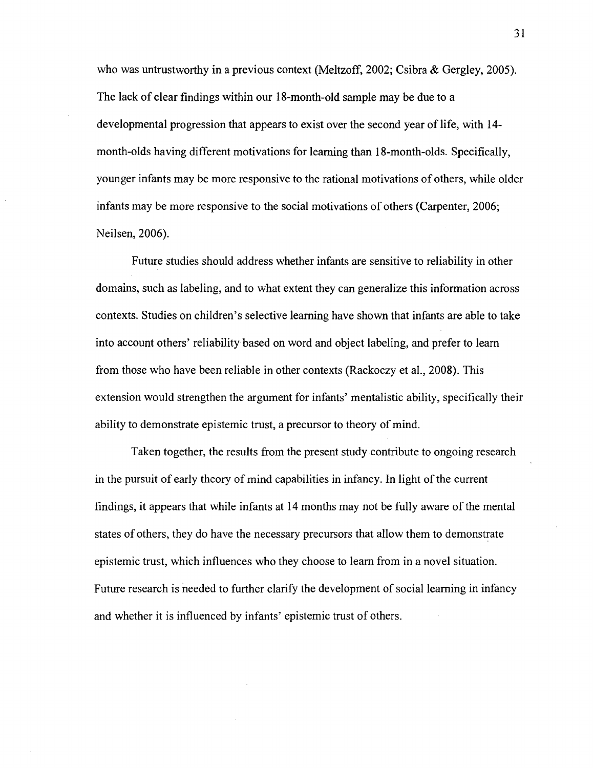who was untrustworthy in a previous context (Meltzoff, 2002; Csibra & Gergley, 2005). The lack of clear findings within our 18-month-old sample may be due to a developmental progression that appears to exist over the second year of life, with 14 month-olds having different motivations for learning than 18-month-olds. Specifically, younger infants may be more responsive to the rational motivations of others, while older infants may be more responsive to the social motivations of others (Carpenter, 2006; Neilsen, 2006).

Future studies should address whether infants are sensitive to reliability in other domains, such as labeling, and to what extent they can generalize this information across contexts. Studies on children's selective learning have shown that infants are able to take into account others' reliability based on word and object labeling, and prefer to learn from those who have been reliable in other contexts (Rackoczy et al., 2008). This extension would strengthen the argument for infants' mentalistic ability, specifically their ability to demonstrate epistemic trust, a precursor to theory of mind.

Taken together, the results from the present study contribute to ongoing research in the pursuit of early theory of mind capabilities in infancy. In light of the current findings, it appears that while infants at 14 months may not be fully aware of the mental states of others, they do have the necessary precursors that allow them to demonstrate epistemic trust, which influences who they choose to learn from in a novel situation. Future research is needed to further clarify the development of social learning in infancy and whether it is influenced by infants' epistemic trust of others.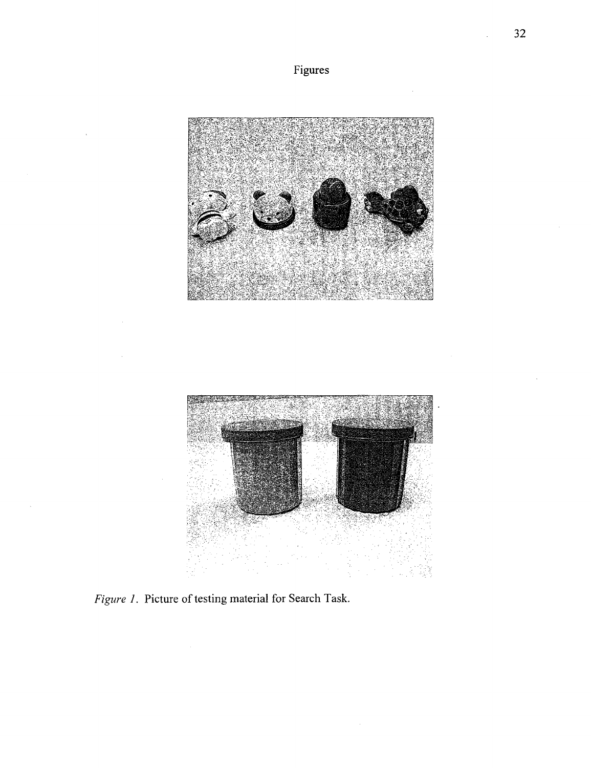





*Figure J.* Picture of testing material for Search Task.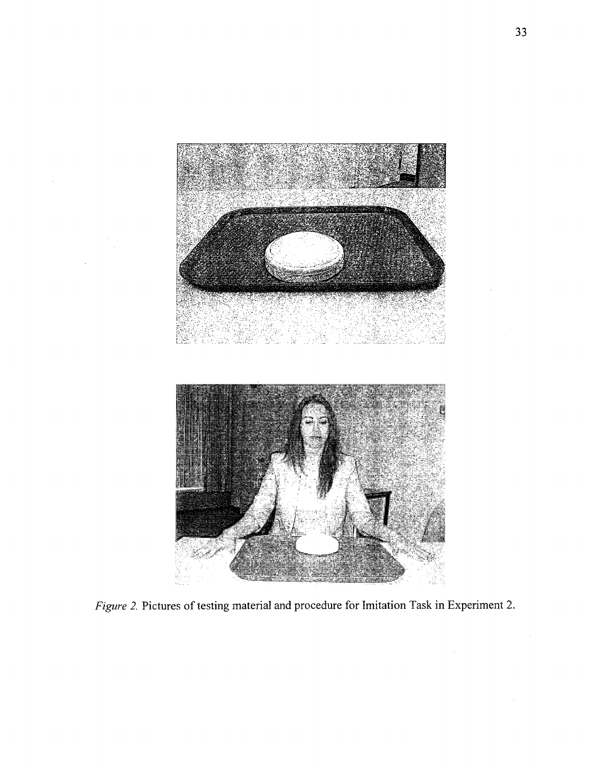

*Figure 2.* Pictures of testing material and procedure for Imitation Task in Experiment 2.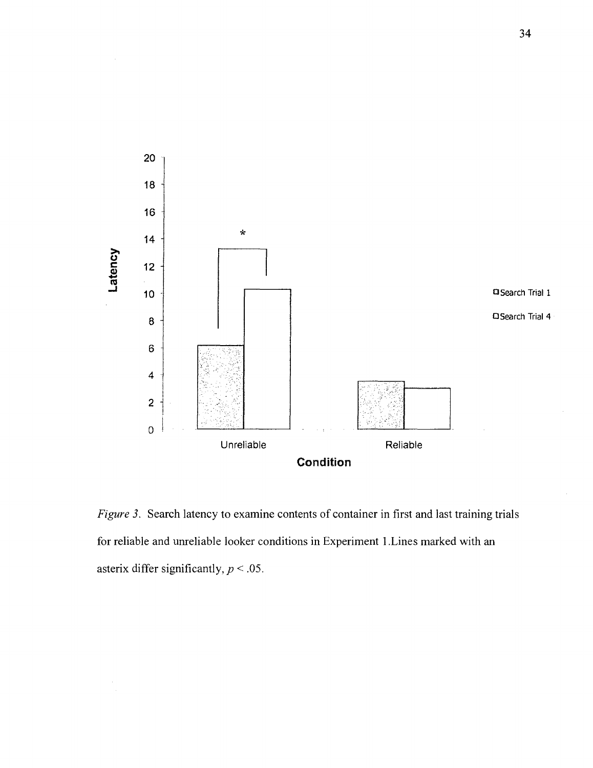

*Figure 3.* Search latency to examine contents of container in first and last training trials for reliable and unreliable looker conditions in Experiment 1 .Lines marked with an asterix differ significantly, *p* < .05.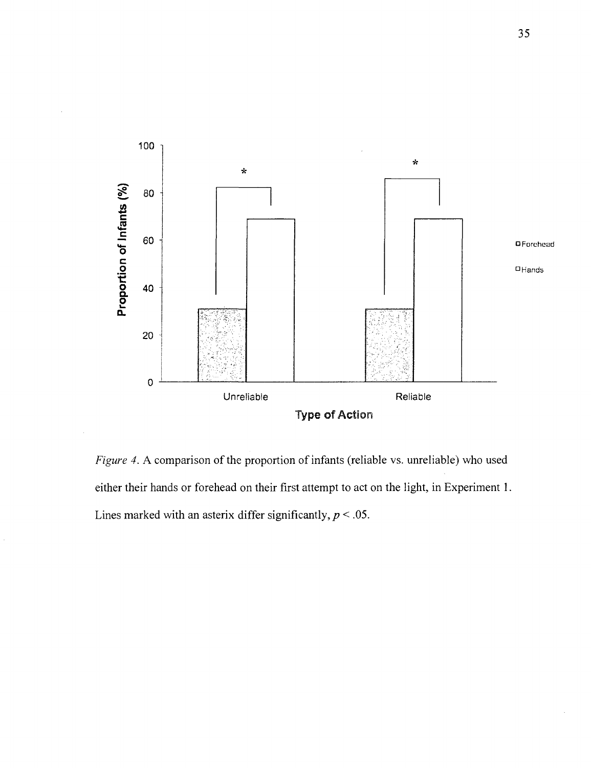

*Figure 4.* A comparison of the proportion of infants (reliable vs. unreliable) who used either their hands or forehead on their first attempt to act on the light, in Experiment 1. Lines marked with an asterix differ significantly,  $p < .05$ .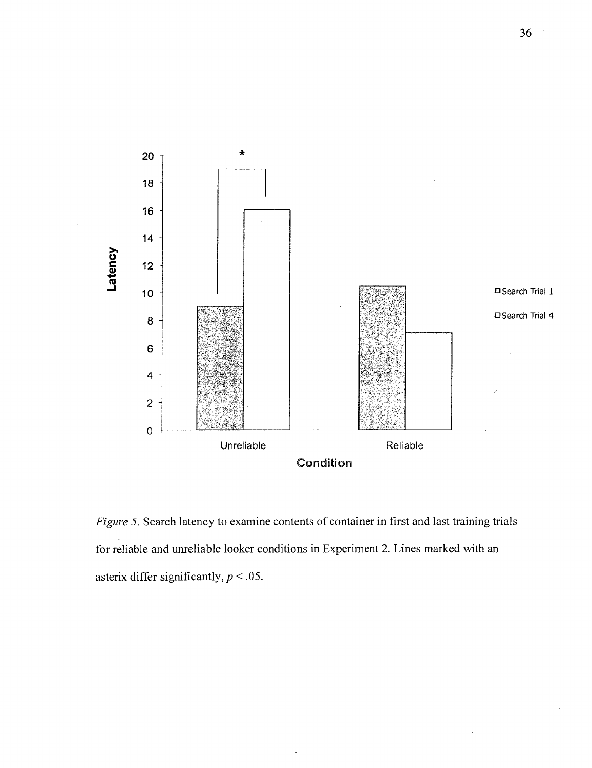

*Figure 5.* Search latency to examine contents of container in first and last training trials for reliable and unreliable looker conditions in Experiment 2. Lines marked with an asterix differ significantly, *p <* .05.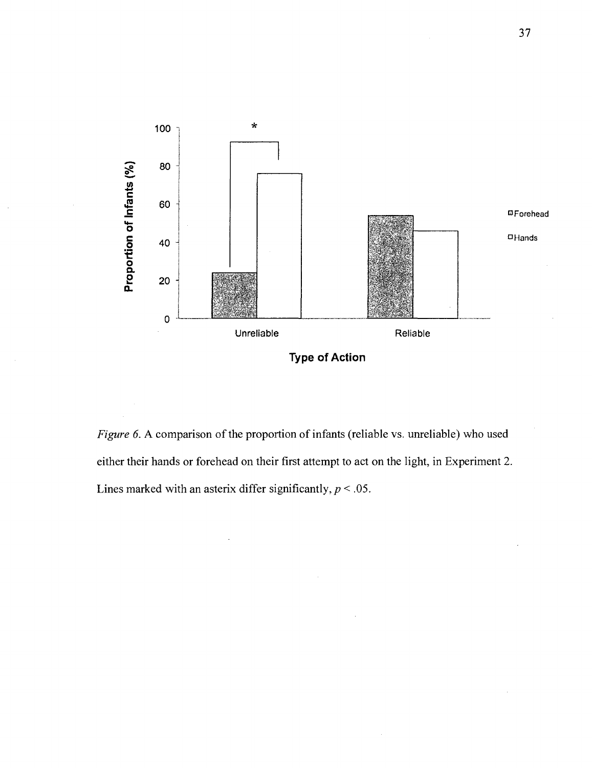

*Figure 6.* A comparison of the proportion of infants (reliable vs. unreliable) who used either their hands or forehead on their first attempt to act on the light, in Experiment 2. Lines marked with an asterix differ significantly,  $p < .05$ .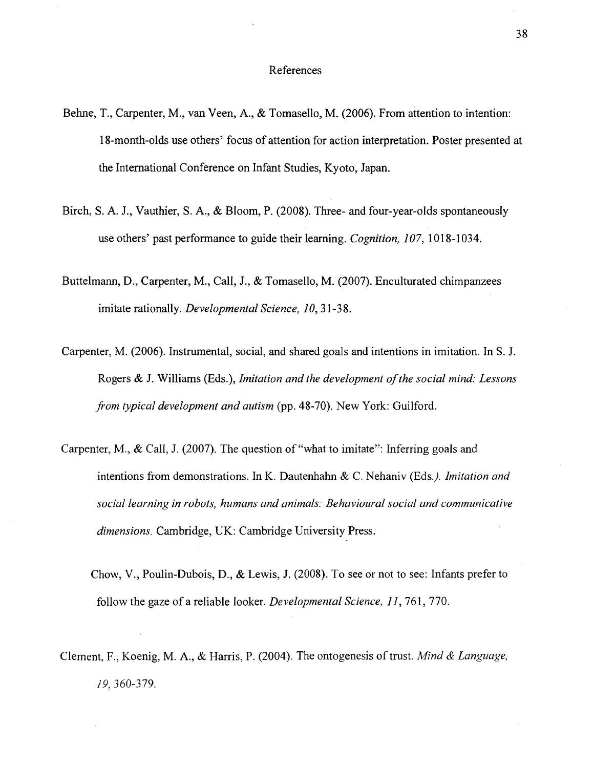#### References

- Behne, T., Carpenter, M., van Veen, A., & Tomasello, M. (2006). From attention to intention: 18-month-olds use others' focus of attention for action interpretation. Poster presented at the International Conference on Infant Studies, Kyoto, Japan.
- Birch, S. A. J., Vauthier, S. A., & Bloom, P. (2008). Three- and four-year-olds spontaneously use others' past performance to guide their learning. *Cognition, 107,* 1018-1034.
- Buttelmann, D., Carpenter, M., Call, J., & Tomasello, M. (2007). Enculturated chimpanzees imitate rationally. *Developmental Science, 10,* 31-38.
- Carpenter, M. (2006). Instrumental, social, and shared goals and intentions in imitation. In S. J. Rogers & J. Williams (Eds.), *Imitation and the development of the social mind: Lessons from typical development and autism* (pp. 48-70). New York: Guilford.
- Carpenter, M., & Call, J. (2007). The question of "what to imitate": Inferring goals and intentions from demonstrations. In K. Dautenhahn & C. Nehaniv (Eds.). Imitation and *social learning in robots, humans and animals: Behavioural social and communicative dimensions.* Cambridge, UK: Cambridge University Press.
	- Chow, V., Poulin-Dubois, D., & Lewis, J. (2008). To see or not to see: Infants prefer to follow the gaze of a reliable looker. *Developmental Science, 11,161,* 770.
- Clement, F., Koenig, M. A., & Harris, P. (2004). The ontogenesis of trust. *Mind & Language, 19,* 360-379.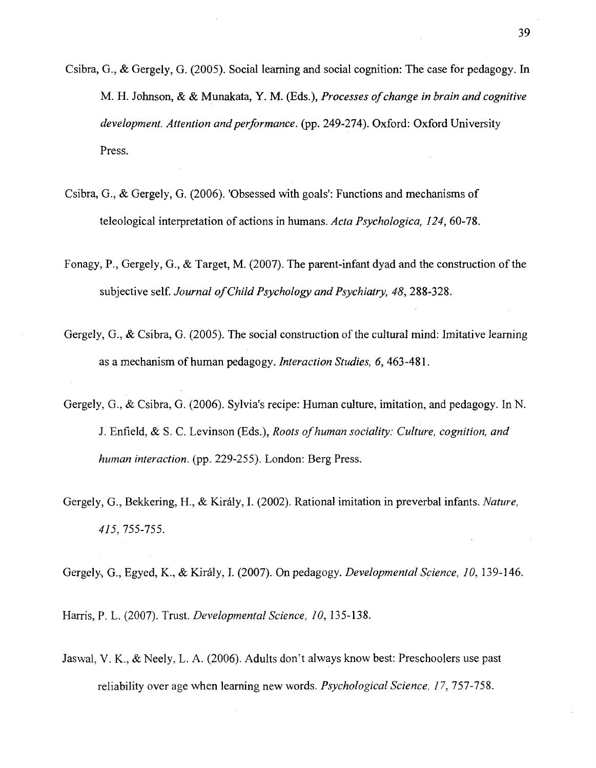- Csibra, G., & Gergely, G. (2005). Social learning and social cognition: The case for pedagogy. In M. H. Johnson, & & Munakata, Y. M. (Eds.), *Processes of change in brain and cognitive development. Attention and performance,* (pp. 249-274). Oxford: Oxford University Press.
- Csibra, G., & Gergely, G. (2006). 'Obsessed with goals': Functions and mechanisms of teleological interpretation of actions in humans. *Acta Psychologica, 124,* 60-78.
- Fonagy, P., Gergely, G., & Target, M. (2007). The parent-infant dyad and the construction of the subjective self. *Journal of Child Psychology and Psychiatry, 48,* 288-328.
- Gergely, G., & Csibra, G. (2005). The social construction of the cultural mind: Imitative learning as a mechanism of human pedagogy. *Interaction Studies, 6,* 463-481.
- Gergely, G., & Csibra, G. (2006). Sylvia's recipe: Human culture, imitation, and pedagogy. In N. J. Enfield, & S. C. Levinson (Eds.), *Roots of human sociality: Culture, cognition, and human interaction,* (pp. 229-255). London: Berg Press.
- Gergely, G., Bekkering, H., & Kiraly, I. (2002). Rational imitation in preverbal infants. *Nature, 415,* 755-755.
- Gergely, G., Egyed, K., & Kiraly, I. (2007). On pedagogy. *Developmental Science, 10,* 139-146.

Harris, P. L. (2007). Trust. *Developmental Science, 10,* 135-138.

Jaswal, V. K., & Neely, L. A. (2006). Adults don't always know best: Preschoolers use past reliability over age when learning new words. *Psychological Science, 17,* 757-758.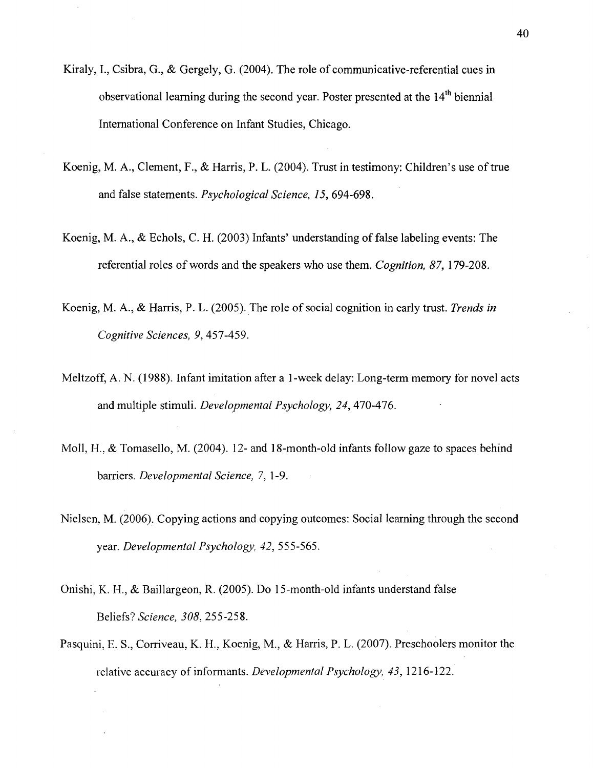- Kiraly, I., Csibra, G., & Gergely, G. (2004). The role of communicative-referential cues in observational learning during the second year. Poster presented at the 14<sup>th</sup> biennial International Conference on Infant Studies, Chicago.
- Koenig, M. A., Clement, F., & Harris, P. L. (2004). Trust in testimony: Children's use of true and false statements. *Psychological Science, 15,* 694-698.
- Koenig, M. A., & Echols, C. H. (2003) Infants' understanding of false labeling events: The referential roles of words and the speakers who use them. *Cognition, 87,* 179-208.
- Koenig, M. A., & Harris, P. L. (2005). The role of social cognition in early trust. *Trends in Cognitive Sciences, 9,* 457-459.
- Meltzoff, A. N. (1988). Infant imitation after a 1-week delay: Long-term memory for novel acts and multiple stimuli. *Developmental Psychology, 24,* 470-476.
- Moll, H., & Tomasello, M. (2004). 12- and 18-month-old infants follow gaze to spaces behind barriers. *Developmental Science, 7,* 1-9.
- Nielsen, M. (2006). Copying actions and copying outcomes: Social learning through the second year. *Developmental Psychology, 42,* 555-565.
- Onishi, K. H., & Baillargeon, R. (2005). Do 15-month-old infants understand false Beliefs? *Science, 308,* 255-258.
- Pasquini, E. S., Corriveau, K. H., Koenig, M., & Harris, P. L. (2007). Preschoolers monitor the relative accuracy of informants. *Developmental Psychology, 43,* 1216-122.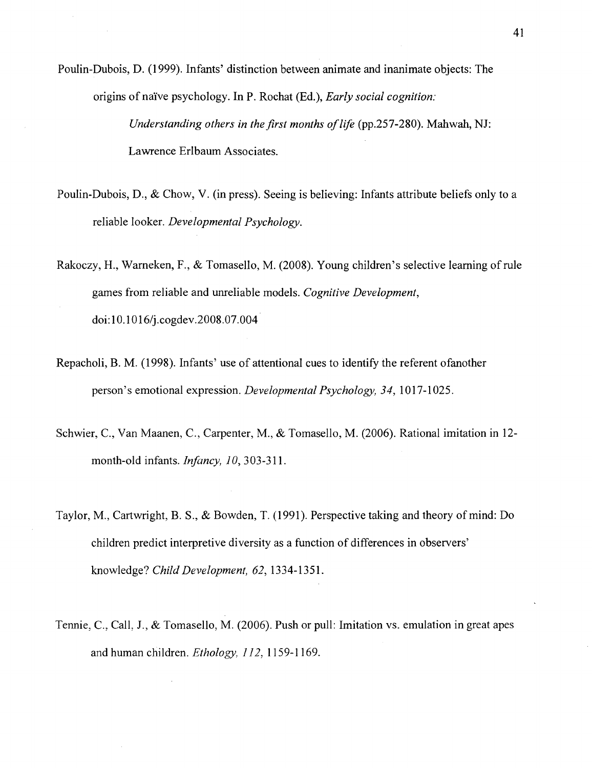Poulin-Dubois, D. (1999). Infants' distinction between animate and inanimate objects: The origins of nai've psychology. In P. Rochat (Ed.), *Early social cognition: Understanding others in the first months of life* (pp.257-280). Mahwah, NJ: Lawrence Erlbaum Associates.

- Poulin-Dubois, D., & Chow, V. (in press). Seeing is believing: Infants attribute beliefs only to a reliable looker. *Developmental Psychology.*
- Rakoczy, H., Warneken, F., & Tomasello, M. (2008). Young children's selective learning of rule games from reliable and unreliable models. *Cognitive Development,*  doi:10.1016/j.cogdev.2008.07.004
- Repacholi, B. M. (1998). Infants' use of attentional cues to identify the referent ofanother person's emotional expression. *Developmental Psychology, 34,* 1017-1025.
- Schwier, C, Van Maanen, C, Carpenter, M., & Tomasello, M. (2006). Rational imitation in 12 month-old infants. *Infancy, 10,* 303-311.
- Taylor, M., Cartwright, B. S., & Bowden, T. (1991). Perspective taking and theory of mind: Do children predict interpretive diversity as a function of differences in observers' knowledge? *Child Development, 62,* 1334-1351.
- Tennie, C, Call. J., & Tomasello, M. (2006). Push or pull: Imitation vs. emulation in great apes and human children. *Ethology, 112,* 1159-1169.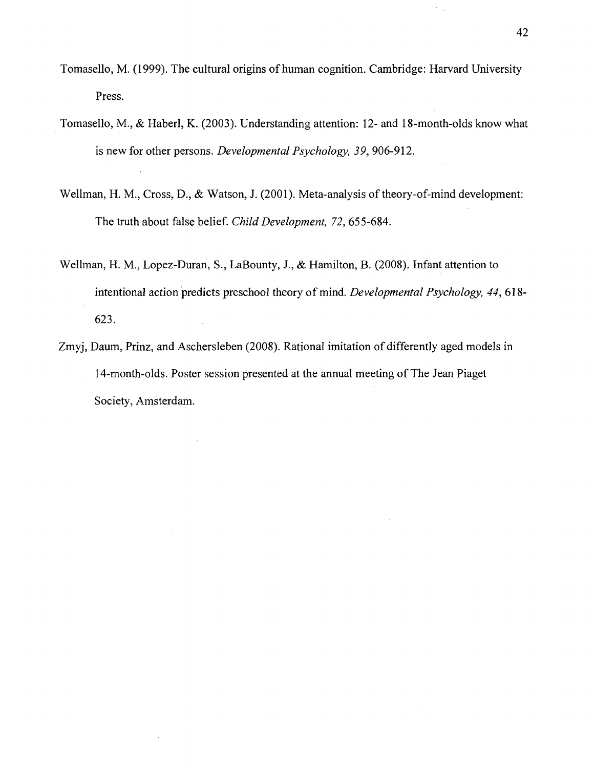- Tomasello, M. (1999). The cultural origins of human cognition. Cambridge: Harvard University Press.
- Tomasello, M., & Haberl, K. (2003). Understanding attention: 12- and 18-month-olds know what is new for other persons. *Developmental Psychology, 39,* 906-912.
- Wellman, H. M., Cross, D., & Watson, J. (2001). Meta-analysis of theory-of-mind development: The truth about false belief. *Child Development, 72,* 655-684.
- Wellman, H. M, Lopez-Duran, S., LaBounty, J., & Hamilton, B. (2008). Infant attention to intentional action predicts preschool theory of mind. *Developmental Psychology, 44,* 618- 623.
- Zmyj, Daum, Prinz, and Aschersleben (2008). Rational imitation of differently aged models in 14-month-olds. Poster session presented at the annual meeting of The Jean Piaget Society, Amsterdam.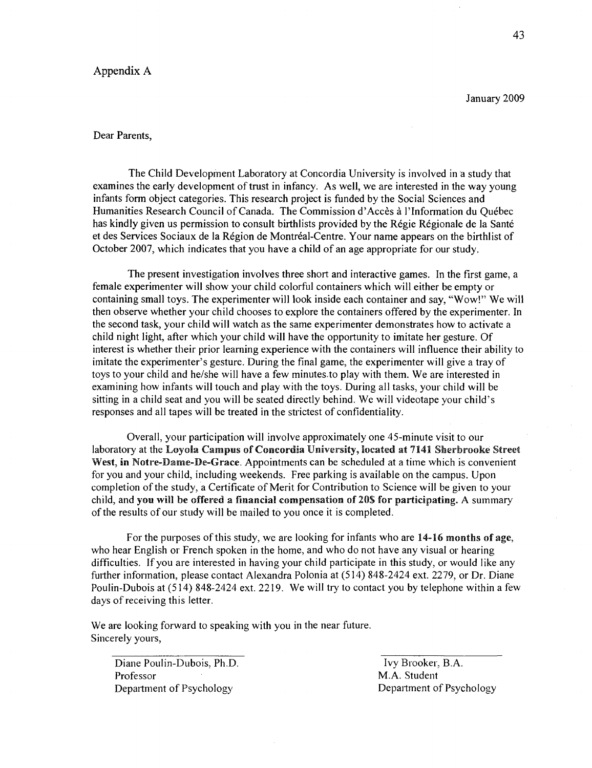#### Appendix A

#### Dear Parents,

The Child Development Laboratory at Concordia University is involved in a study that examines the early development of trust in infancy. As well, we are interested in the way young infants form object categories. This research project is funded by the Social Sciences and Humanities Research Council of Canada. The Commission d'Acces a l'lnformation du Quebec has kindly given us permission to consult birthlists provided by the Régie Régionale de la Santé et des Services Sociaux de la Région de Montréal-Centre. Your name appears on the birthlist of October 2007, which indicates that you have a child of an age appropriate for our study.

The present investigation involves three short and interactive games. In the first game, a female experimenter will show your child colorful containers which will either be empty or containing small toys. The experimenter will look inside each container and say, "Wow!" We will then observe whether your child chooses to explore the containers offered by the experimenter. In the second task, your child will watch as the same experimenter demonstrates how to activate a child night light, after which your child will have the opportunity to imitate her gesture. Of interest is whether their prior learning experience with the containers will influence their ability to imitate the experimenter's gesture. During the final game, the experimenter will give a tray of toys to your child and he/she will have a few minutes-to play with them. We are interested in examining how infants will touch and play with the toys. During all tasks, your child will be sitting in a child seat and you will be seated directly behind. We will videotape your child's responses and all tapes will be treated in the strictest of confidentiality.

Overall, your participation will involve approximately one 45-minute visit to our laboratory at the Loyola Campus of Concordia University, located at 7141 Sherbrooke Street West, in Notre-Bame-De-Grace. Appointments can be scheduled at a time which is convenient for you and your child, including weekends. Free parking is available on the campus. Upon completion of the study, a Certificate of Merit for Contribution to Science will be given to your child, and you will be offered a financial compensation of 20\$ for participating. A summary of the results of our study will be mailed to you once it is completed.

For the purposes of this study, we are looking for infants who are 14-16 months of age, who hear English or French spoken in the home, and who do not have any visual or hearing difficulties. If you are interested in having your child participate in this study, or would like any further information, please contact Alexandra Polonia at (514) 848-2424 ext. 2279, or Dr. Diane Poulin-Dubois at (514) 848-2424 ext. 2219. We will try to contact you by telephone within a few days of receiving this letter.

We are looking forward to speaking with you in the near future. Sincerely yours,

Diane Poulin-Dubois, Ph.D. Ivy Brooker, B.A. Professor M.A. Student Department of Psychology Department of Psychology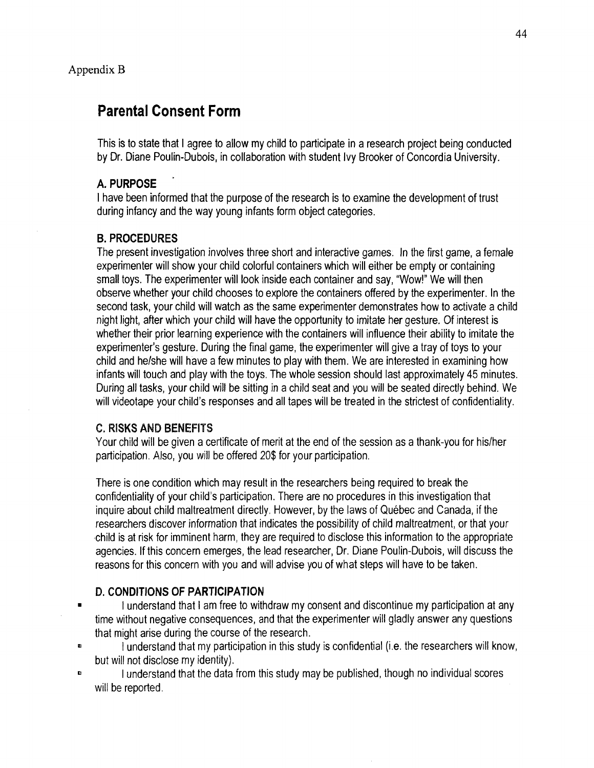### **Parental Consent Form**

This is to state that I agree to allow my child to participate in a research project being conducted by Dr. Diane Poulin-Dubois, in collaboration with student Ivy Brooker of Concordia University.

#### **A. PURPOSE**

I have been informed that the purpose of the research is to examine the development of trust during infancy and the way young infants form object categories.

#### B. **PROCEDURES**

The present investigation involves three short and interactive games. In the first game, a female experimenter will show your child colorful containers which will either be empty or containing small toys. The experimenter will look inside each container and say, "Wow!" We will then observe whether your child chooses to explore the containers offered by the experimenter. In the second task, your child will watch as the same experimenter demonstrates how to activate a child night light, after which your child will have the opportunity to imitate her gesture. Of interest is whether their prior learning experience with the containers will influence their ability to imitate the experimenter's gesture. During the final game, the experimenter will give a tray of toys to your child and he/she will have a few minutes to play with them. We are interested in examining how infants will touch and play with the toys. The whole session should last approximately 45 minutes. During all tasks, your child will be sitting in a child seat and you will be seated directly behind. We will videotape your child's responses and all tapes will be treated in the strictest of confidentiality.

#### C. RISKS AND BENEFITS

Your child will be given a certificate of merit at the end of the session as a thank-you for his/her participation. Also, you will be offered 20\$ for your participation.

There is one condition which may result in the researchers being required to break the confidentiality of your child's participation. There are no procedures in this investigation that inquire about child maltreatment directly. However, by the laws of Quebec and Canada, if the researchers discover information that indicates the possibility of child maltreatment, or that your child is at risk for imminent harm, they are required to disclose this information to the appropriate agencies. If this concern emerges, the lead researcher, Dr. Diane Poulin-Dubois, will discuss the reasons for this concern with you and will advise you of what steps will have to be taken.

#### D. **CONDITIONS** OF **PARTICIPATION**

- $\blacksquare$ I understand that I am free to withdraw my consent and discontinue my participation at any time without negative consequences, and that the experimenter will gladly answer any questions that might arise during the course of the research.
- I understand that my participation in this study is confidential (i.e. the researchers will know, but will not disclose my identity).

 $\mathbf{B}$ I understand that the data from this study may be published, though no individual scores will be reported.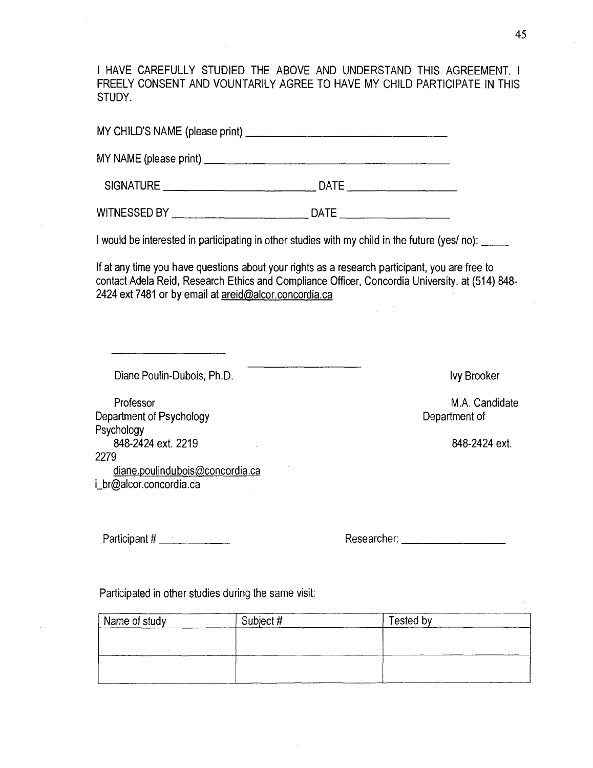I HAVE CAREFULLY STUDIED THE ABOVE AND UNDERSTAND THIS AGREEMENT. I FREELY CONSENT AND VOUNTARILY AGREE TO HAVE MY CHILD PARTICIPATE IN THIS STUDY.

MY CHILD'S NAME (please print) MY NAME (please print) SIGNATURE DATE WITNESSED BY NATURAL BILL DATE I would be interested in participating in other studies with my child in the future (yes/ no): If at any time you have questions about your rights as a research participant, you are free to contact Adela Reid, Research Ethics and Compliance Officer, Concordia University, at (514) 848- 2424 ext 7481 or by email at areid@alcor.concordia.ca Diane Poulin-Dubois, Ph.D. Professor Department of Psychology Psychology 848-2424 ext. 2219 2279 diane.poulindubois@concordia.ca [i\\_br@alcor.concordia.ca](mailto:i_br@alcor.concordia.ca)  Ivy Brooker M.A. Candidate Department of 848-2424 ext. Participant #. Researcher:

Participated in other studies during the same visit:

| Name of study | Subject # | Tested by |  |
|---------------|-----------|-----------|--|
|               |           |           |  |
|               |           |           |  |
|               |           |           |  |
|               |           |           |  |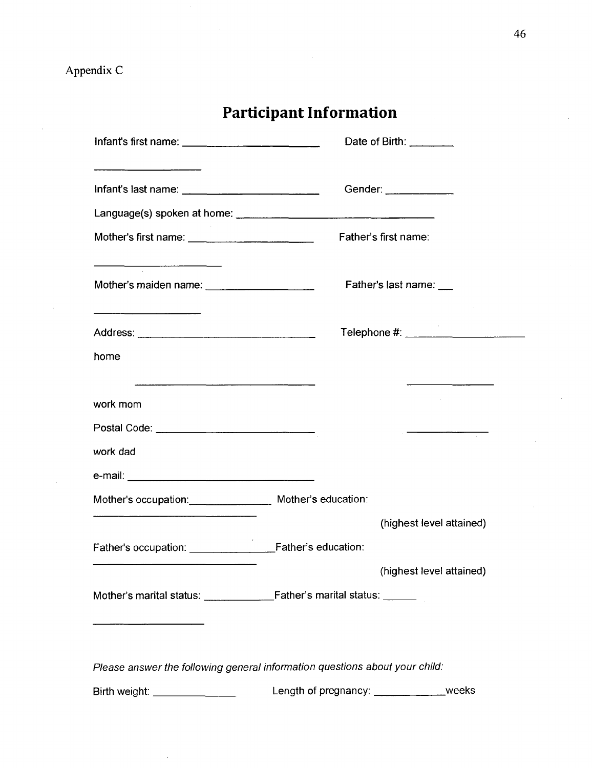|                                                                                     | Date of Birth: $\frac{1}{2}$                                                                                                                                                                                                                                                                                                                                                                                        |  |
|-------------------------------------------------------------------------------------|---------------------------------------------------------------------------------------------------------------------------------------------------------------------------------------------------------------------------------------------------------------------------------------------------------------------------------------------------------------------------------------------------------------------|--|
| the control of the control of the control of the                                    | Gender: _____________                                                                                                                                                                                                                                                                                                                                                                                               |  |
|                                                                                     |                                                                                                                                                                                                                                                                                                                                                                                                                     |  |
|                                                                                     | Father's first name:                                                                                                                                                                                                                                                                                                                                                                                                |  |
| $\overline{\phantom{a}}$ . The contract of the contract of $\overline{\phantom{a}}$ | Father's last name: ___                                                                                                                                                                                                                                                                                                                                                                                             |  |
|                                                                                     | Telephone #: _________________________                                                                                                                                                                                                                                                                                                                                                                              |  |
| home                                                                                |                                                                                                                                                                                                                                                                                                                                                                                                                     |  |
| work mom                                                                            | $\overline{\phantom{a}}$ and $\overline{\phantom{a}}$ and $\overline{\phantom{a}}$ and $\overline{\phantom{a}}$ and $\overline{\phantom{a}}$ and $\overline{\phantom{a}}$ and $\overline{\phantom{a}}$ and $\overline{\phantom{a}}$ and $\overline{\phantom{a}}$ and $\overline{\phantom{a}}$ and $\overline{\phantom{a}}$ and $\overline{\phantom{a}}$ and $\overline{\phantom{a}}$ and $\overline{\phantom{a}}$ a |  |
|                                                                                     | $\frac{1}{2}$ $\frac{1}{2}$ $\frac{1}{2}$ $\frac{1}{2}$ $\frac{1}{2}$ $\frac{1}{2}$ $\frac{1}{2}$ $\frac{1}{2}$ $\frac{1}{2}$ $\frac{1}{2}$ $\frac{1}{2}$ $\frac{1}{2}$ $\frac{1}{2}$ $\frac{1}{2}$ $\frac{1}{2}$ $\frac{1}{2}$ $\frac{1}{2}$ $\frac{1}{2}$ $\frac{1}{2}$ $\frac{1}{2}$ $\frac{1}{2}$ $\frac{1}{2}$                                                                                                 |  |
| work dad                                                                            |                                                                                                                                                                                                                                                                                                                                                                                                                     |  |
|                                                                                     |                                                                                                                                                                                                                                                                                                                                                                                                                     |  |
| Mother's occupation: ________________ Mother's education:                           |                                                                                                                                                                                                                                                                                                                                                                                                                     |  |
|                                                                                     | (highest level attained)                                                                                                                                                                                                                                                                                                                                                                                            |  |
|                                                                                     |                                                                                                                                                                                                                                                                                                                                                                                                                     |  |
|                                                                                     | (highest level attained)                                                                                                                                                                                                                                                                                                                                                                                            |  |
|                                                                                     |                                                                                                                                                                                                                                                                                                                                                                                                                     |  |
|                                                                                     |                                                                                                                                                                                                                                                                                                                                                                                                                     |  |
|                                                                                     | Please answer the following general information questions about your child:                                                                                                                                                                                                                                                                                                                                         |  |
| Birth weight: _______________                                                       | Length of pregnancy: _____________weeks                                                                                                                                                                                                                                                                                                                                                                             |  |